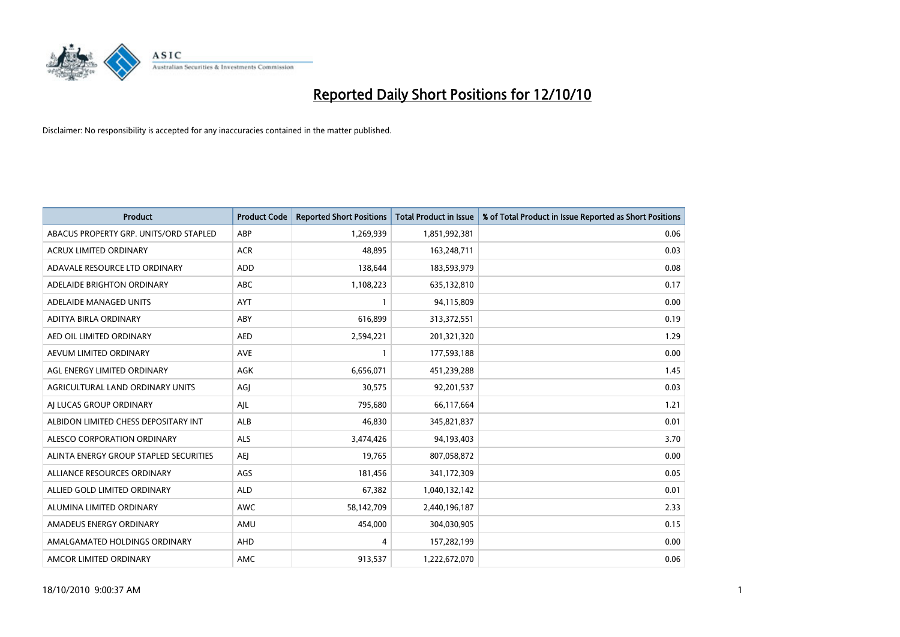

| <b>Product</b>                         | <b>Product Code</b> | <b>Reported Short Positions</b> | Total Product in Issue | % of Total Product in Issue Reported as Short Positions |
|----------------------------------------|---------------------|---------------------------------|------------------------|---------------------------------------------------------|
| ABACUS PROPERTY GRP. UNITS/ORD STAPLED | ABP                 | 1,269,939                       | 1,851,992,381          | 0.06                                                    |
| <b>ACRUX LIMITED ORDINARY</b>          | <b>ACR</b>          | 48.895                          | 163,248,711            | 0.03                                                    |
| ADAVALE RESOURCE LTD ORDINARY          | <b>ADD</b>          | 138,644                         | 183,593,979            | 0.08                                                    |
| ADELAIDE BRIGHTON ORDINARY             | <b>ABC</b>          | 1,108,223                       | 635,132,810            | 0.17                                                    |
| ADELAIDE MANAGED UNITS                 | AYT                 |                                 | 94,115,809             | 0.00                                                    |
| ADITYA BIRLA ORDINARY                  | ABY                 | 616,899                         | 313,372,551            | 0.19                                                    |
| AED OIL LIMITED ORDINARY               | <b>AED</b>          | 2,594,221                       | 201,321,320            | 1.29                                                    |
| AEVUM LIMITED ORDINARY                 | <b>AVE</b>          |                                 | 177,593,188            | 0.00                                                    |
| AGL ENERGY LIMITED ORDINARY            | <b>AGK</b>          | 6,656,071                       | 451,239,288            | 1.45                                                    |
| AGRICULTURAL LAND ORDINARY UNITS       | AGI                 | 30.575                          | 92,201,537             | 0.03                                                    |
| AI LUCAS GROUP ORDINARY                | AJL                 | 795,680                         | 66,117,664             | 1.21                                                    |
| ALBIDON LIMITED CHESS DEPOSITARY INT   | ALB                 | 46,830                          | 345,821,837            | 0.01                                                    |
| ALESCO CORPORATION ORDINARY            | <b>ALS</b>          | 3,474,426                       | 94,193,403             | 3.70                                                    |
| ALINTA ENERGY GROUP STAPLED SECURITIES | <b>AEI</b>          | 19.765                          | 807,058,872            | 0.00                                                    |
| ALLIANCE RESOURCES ORDINARY            | AGS                 | 181,456                         | 341,172,309            | 0.05                                                    |
| ALLIED GOLD LIMITED ORDINARY           | <b>ALD</b>          | 67,382                          | 1,040,132,142          | 0.01                                                    |
| ALUMINA LIMITED ORDINARY               | <b>AWC</b>          | 58,142,709                      | 2,440,196,187          | 2.33                                                    |
| AMADEUS ENERGY ORDINARY                | AMU                 | 454,000                         | 304,030,905            | 0.15                                                    |
| AMALGAMATED HOLDINGS ORDINARY          | AHD                 | 4                               | 157,282,199            | 0.00                                                    |
| AMCOR LIMITED ORDINARY                 | <b>AMC</b>          | 913,537                         | 1,222,672,070          | 0.06                                                    |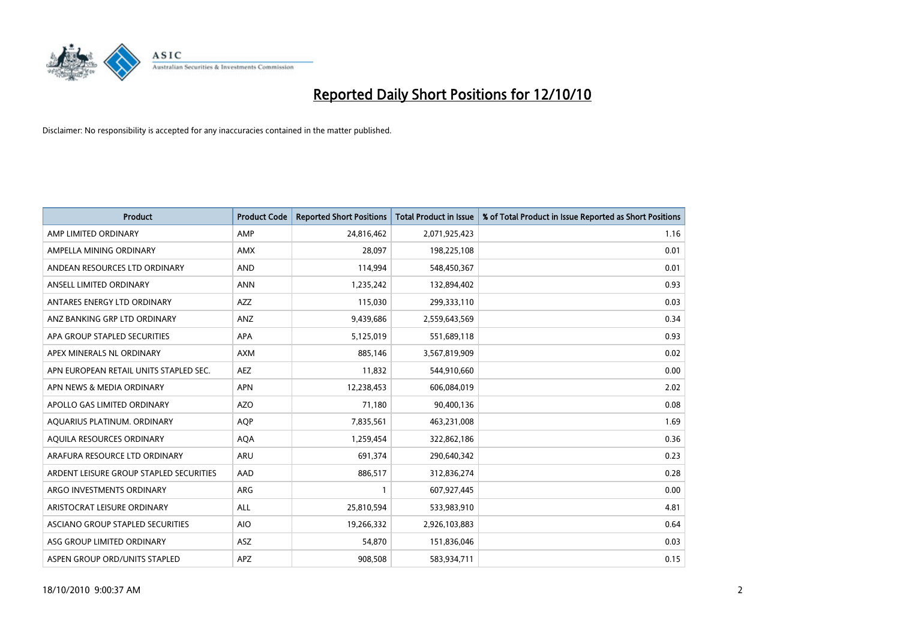

| <b>Product</b>                          | <b>Product Code</b> | <b>Reported Short Positions</b> | Total Product in Issue | % of Total Product in Issue Reported as Short Positions |
|-----------------------------------------|---------------------|---------------------------------|------------------------|---------------------------------------------------------|
| AMP LIMITED ORDINARY                    | AMP                 | 24,816,462                      | 2,071,925,423          | 1.16                                                    |
| AMPELLA MINING ORDINARY                 | <b>AMX</b>          | 28.097                          | 198,225,108            | 0.01                                                    |
| ANDEAN RESOURCES LTD ORDINARY           | <b>AND</b>          | 114,994                         | 548,450,367            | 0.01                                                    |
| ANSELL LIMITED ORDINARY                 | <b>ANN</b>          | 1,235,242                       | 132,894,402            | 0.93                                                    |
| ANTARES ENERGY LTD ORDINARY             | <b>AZZ</b>          | 115,030                         | 299,333,110            | 0.03                                                    |
| ANZ BANKING GRP LTD ORDINARY            | ANZ                 | 9,439,686                       | 2,559,643,569          | 0.34                                                    |
| APA GROUP STAPLED SECURITIES            | <b>APA</b>          | 5,125,019                       | 551,689,118            | 0.93                                                    |
| APEX MINERALS NL ORDINARY               | <b>AXM</b>          | 885,146                         | 3,567,819,909          | 0.02                                                    |
| APN EUROPEAN RETAIL UNITS STAPLED SEC.  | <b>AEZ</b>          | 11,832                          | 544,910,660            | 0.00                                                    |
| APN NEWS & MEDIA ORDINARY               | <b>APN</b>          | 12,238,453                      | 606,084,019            | 2.02                                                    |
| APOLLO GAS LIMITED ORDINARY             | <b>AZO</b>          | 71,180                          | 90,400,136             | 0.08                                                    |
| AQUARIUS PLATINUM. ORDINARY             | <b>AOP</b>          | 7,835,561                       | 463,231,008            | 1.69                                                    |
| AQUILA RESOURCES ORDINARY               | <b>AQA</b>          | 1,259,454                       | 322,862,186            | 0.36                                                    |
| ARAFURA RESOURCE LTD ORDINARY           | <b>ARU</b>          | 691.374                         | 290,640,342            | 0.23                                                    |
| ARDENT LEISURE GROUP STAPLED SECURITIES | AAD                 | 886,517                         | 312,836,274            | 0.28                                                    |
| ARGO INVESTMENTS ORDINARY               | <b>ARG</b>          |                                 | 607,927,445            | 0.00                                                    |
| ARISTOCRAT LEISURE ORDINARY             | <b>ALL</b>          | 25,810,594                      | 533,983,910            | 4.81                                                    |
| ASCIANO GROUP STAPLED SECURITIES        | <b>AIO</b>          | 19,266,332                      | 2,926,103,883          | 0.64                                                    |
| ASG GROUP LIMITED ORDINARY              | <b>ASZ</b>          | 54,870                          | 151,836,046            | 0.03                                                    |
| ASPEN GROUP ORD/UNITS STAPLED           | <b>APZ</b>          | 908.508                         | 583,934,711            | 0.15                                                    |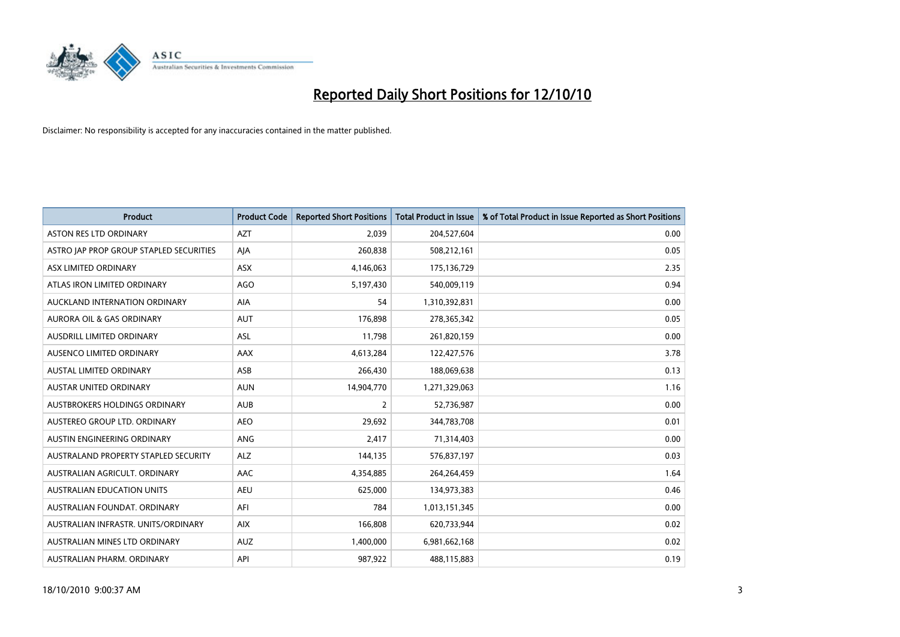

| <b>Product</b>                          | <b>Product Code</b> | <b>Reported Short Positions</b> | <b>Total Product in Issue</b> | % of Total Product in Issue Reported as Short Positions |
|-----------------------------------------|---------------------|---------------------------------|-------------------------------|---------------------------------------------------------|
| <b>ASTON RES LTD ORDINARY</b>           | <b>AZT</b>          | 2.039                           | 204,527,604                   | 0.00                                                    |
| ASTRO JAP PROP GROUP STAPLED SECURITIES | AJA                 | 260,838                         | 508,212,161                   | 0.05                                                    |
| ASX LIMITED ORDINARY                    | <b>ASX</b>          | 4,146,063                       | 175,136,729                   | 2.35                                                    |
| ATLAS IRON LIMITED ORDINARY             | <b>AGO</b>          | 5,197,430                       | 540,009,119                   | 0.94                                                    |
| AUCKLAND INTERNATION ORDINARY           | AIA                 | 54                              | 1,310,392,831                 | 0.00                                                    |
| <b>AURORA OIL &amp; GAS ORDINARY</b>    | <b>AUT</b>          | 176,898                         | 278,365,342                   | 0.05                                                    |
| AUSDRILL LIMITED ORDINARY               | <b>ASL</b>          | 11,798                          | 261,820,159                   | 0.00                                                    |
| AUSENCO LIMITED ORDINARY                | <b>AAX</b>          | 4,613,284                       | 122,427,576                   | 3.78                                                    |
| AUSTAL LIMITED ORDINARY                 | ASB                 | 266,430                         | 188,069,638                   | 0.13                                                    |
| <b>AUSTAR UNITED ORDINARY</b>           | <b>AUN</b>          | 14,904,770                      | 1,271,329,063                 | 1.16                                                    |
| AUSTBROKERS HOLDINGS ORDINARY           | <b>AUB</b>          | 2                               | 52,736,987                    | 0.00                                                    |
| AUSTEREO GROUP LTD. ORDINARY            | <b>AEO</b>          | 29,692                          | 344,783,708                   | 0.01                                                    |
| AUSTIN ENGINEERING ORDINARY             | ANG                 | 2,417                           | 71,314,403                    | 0.00                                                    |
| AUSTRALAND PROPERTY STAPLED SECURITY    | <b>ALZ</b>          | 144,135                         | 576,837,197                   | 0.03                                                    |
| AUSTRALIAN AGRICULT, ORDINARY           | <b>AAC</b>          | 4,354,885                       | 264,264,459                   | 1.64                                                    |
| <b>AUSTRALIAN EDUCATION UNITS</b>       | <b>AEU</b>          | 625,000                         | 134,973,383                   | 0.46                                                    |
| AUSTRALIAN FOUNDAT. ORDINARY            | AFI                 | 784                             | 1,013,151,345                 | 0.00                                                    |
| AUSTRALIAN INFRASTR. UNITS/ORDINARY     | <b>AIX</b>          | 166,808                         | 620,733,944                   | 0.02                                                    |
| AUSTRALIAN MINES LTD ORDINARY           | <b>AUZ</b>          | 1,400,000                       | 6,981,662,168                 | 0.02                                                    |
| AUSTRALIAN PHARM. ORDINARY              | API                 | 987,922                         | 488,115,883                   | 0.19                                                    |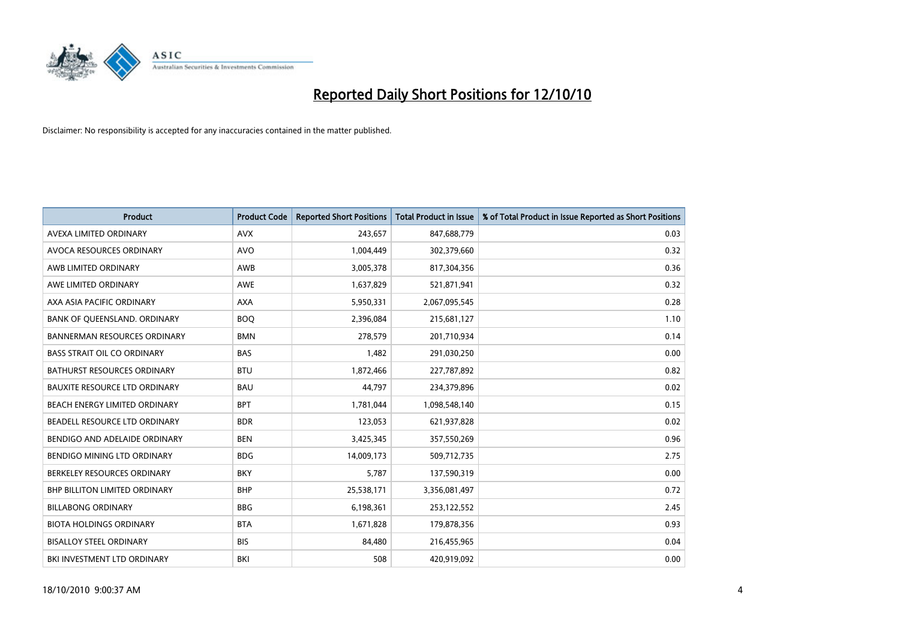

| <b>Product</b>                       | <b>Product Code</b> | <b>Reported Short Positions</b> | <b>Total Product in Issue</b> | % of Total Product in Issue Reported as Short Positions |
|--------------------------------------|---------------------|---------------------------------|-------------------------------|---------------------------------------------------------|
| AVEXA LIMITED ORDINARY               | <b>AVX</b>          | 243.657                         | 847,688,779                   | 0.03                                                    |
| AVOCA RESOURCES ORDINARY             | <b>AVO</b>          | 1,004,449                       | 302,379,660                   | 0.32                                                    |
| AWB LIMITED ORDINARY                 | AWB                 | 3,005,378                       | 817,304,356                   | 0.36                                                    |
| AWE LIMITED ORDINARY                 | <b>AWE</b>          | 1,637,829                       | 521,871,941                   | 0.32                                                    |
| AXA ASIA PACIFIC ORDINARY            | <b>AXA</b>          | 5,950,331                       | 2,067,095,545                 | 0.28                                                    |
| BANK OF QUEENSLAND. ORDINARY         | <b>BOO</b>          | 2,396,084                       | 215,681,127                   | 1.10                                                    |
| <b>BANNERMAN RESOURCES ORDINARY</b>  | <b>BMN</b>          | 278.579                         | 201,710,934                   | 0.14                                                    |
| <b>BASS STRAIT OIL CO ORDINARY</b>   | <b>BAS</b>          | 1,482                           | 291,030,250                   | 0.00                                                    |
| <b>BATHURST RESOURCES ORDINARY</b>   | <b>BTU</b>          | 1,872,466                       | 227,787,892                   | 0.82                                                    |
| <b>BAUXITE RESOURCE LTD ORDINARY</b> | <b>BAU</b>          | 44,797                          | 234,379,896                   | 0.02                                                    |
| BEACH ENERGY LIMITED ORDINARY        | <b>BPT</b>          | 1,781,044                       | 1,098,548,140                 | 0.15                                                    |
| BEADELL RESOURCE LTD ORDINARY        | <b>BDR</b>          | 123,053                         | 621,937,828                   | 0.02                                                    |
| BENDIGO AND ADELAIDE ORDINARY        | <b>BEN</b>          | 3,425,345                       | 357,550,269                   | 0.96                                                    |
| <b>BENDIGO MINING LTD ORDINARY</b>   | <b>BDG</b>          | 14,009,173                      | 509,712,735                   | 2.75                                                    |
| BERKELEY RESOURCES ORDINARY          | <b>BKY</b>          | 5.787                           | 137,590,319                   | 0.00                                                    |
| <b>BHP BILLITON LIMITED ORDINARY</b> | <b>BHP</b>          | 25,538,171                      | 3,356,081,497                 | 0.72                                                    |
| <b>BILLABONG ORDINARY</b>            | <b>BBG</b>          | 6,198,361                       | 253,122,552                   | 2.45                                                    |
| <b>BIOTA HOLDINGS ORDINARY</b>       | <b>BTA</b>          | 1,671,828                       | 179,878,356                   | 0.93                                                    |
| <b>BISALLOY STEEL ORDINARY</b>       | <b>BIS</b>          | 84,480                          | 216,455,965                   | 0.04                                                    |
| BKI INVESTMENT LTD ORDINARY          | BKI                 | 508                             | 420,919,092                   | 0.00                                                    |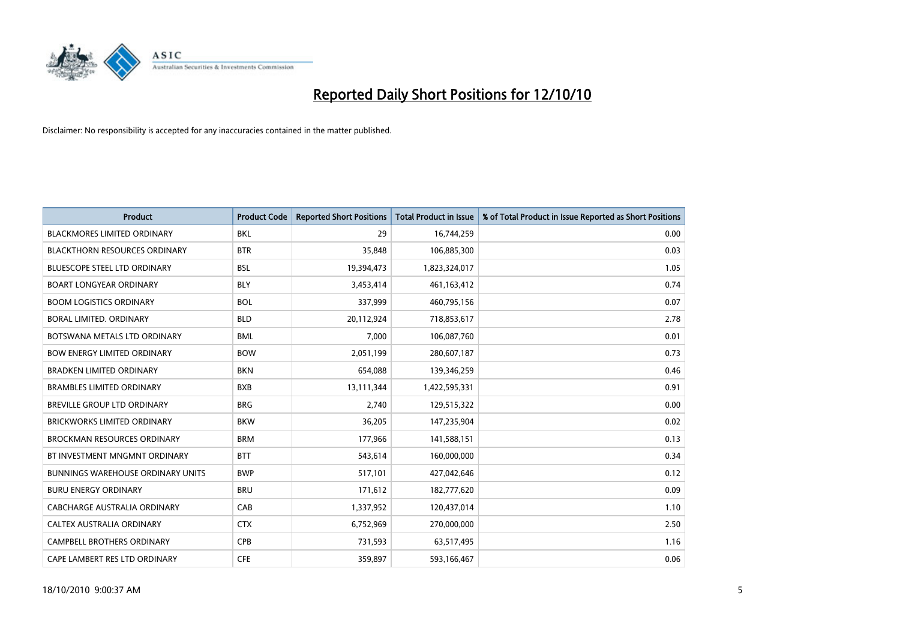

| <b>Product</b>                           | <b>Product Code</b> | <b>Reported Short Positions</b> | <b>Total Product in Issue</b> | % of Total Product in Issue Reported as Short Positions |
|------------------------------------------|---------------------|---------------------------------|-------------------------------|---------------------------------------------------------|
| <b>BLACKMORES LIMITED ORDINARY</b>       | <b>BKL</b>          | 29                              | 16,744,259                    | 0.00                                                    |
| <b>BLACKTHORN RESOURCES ORDINARY</b>     | <b>BTR</b>          | 35,848                          | 106,885,300                   | 0.03                                                    |
| <b>BLUESCOPE STEEL LTD ORDINARY</b>      | <b>BSL</b>          | 19,394,473                      | 1,823,324,017                 | 1.05                                                    |
| <b>BOART LONGYEAR ORDINARY</b>           | <b>BLY</b>          | 3,453,414                       | 461,163,412                   | 0.74                                                    |
| <b>BOOM LOGISTICS ORDINARY</b>           | <b>BOL</b>          | 337,999                         | 460,795,156                   | 0.07                                                    |
| <b>BORAL LIMITED, ORDINARY</b>           | <b>BLD</b>          | 20,112,924                      | 718,853,617                   | 2.78                                                    |
| BOTSWANA METALS LTD ORDINARY             | <b>BML</b>          | 7.000                           | 106,087,760                   | 0.01                                                    |
| <b>BOW ENERGY LIMITED ORDINARY</b>       | <b>BOW</b>          | 2,051,199                       | 280,607,187                   | 0.73                                                    |
| <b>BRADKEN LIMITED ORDINARY</b>          | <b>BKN</b>          | 654,088                         | 139,346,259                   | 0.46                                                    |
| <b>BRAMBLES LIMITED ORDINARY</b>         | <b>BXB</b>          | 13,111,344                      | 1,422,595,331                 | 0.91                                                    |
| <b>BREVILLE GROUP LTD ORDINARY</b>       | <b>BRG</b>          | 2,740                           | 129,515,322                   | 0.00                                                    |
| <b>BRICKWORKS LIMITED ORDINARY</b>       | <b>BKW</b>          | 36,205                          | 147,235,904                   | 0.02                                                    |
| <b>BROCKMAN RESOURCES ORDINARY</b>       | <b>BRM</b>          | 177,966                         | 141,588,151                   | 0.13                                                    |
| BT INVESTMENT MNGMNT ORDINARY            | <b>BTT</b>          | 543,614                         | 160,000,000                   | 0.34                                                    |
| <b>BUNNINGS WAREHOUSE ORDINARY UNITS</b> | <b>BWP</b>          | 517,101                         | 427,042,646                   | 0.12                                                    |
| <b>BURU ENERGY ORDINARY</b>              | <b>BRU</b>          | 171,612                         | 182,777,620                   | 0.09                                                    |
| <b>CABCHARGE AUSTRALIA ORDINARY</b>      | CAB                 | 1,337,952                       | 120,437,014                   | 1.10                                                    |
| CALTEX AUSTRALIA ORDINARY                | <b>CTX</b>          | 6,752,969                       | 270,000,000                   | 2.50                                                    |
| <b>CAMPBELL BROTHERS ORDINARY</b>        | CPB                 | 731,593                         | 63,517,495                    | 1.16                                                    |
| CAPE LAMBERT RES LTD ORDINARY            | <b>CFE</b>          | 359.897                         | 593,166,467                   | 0.06                                                    |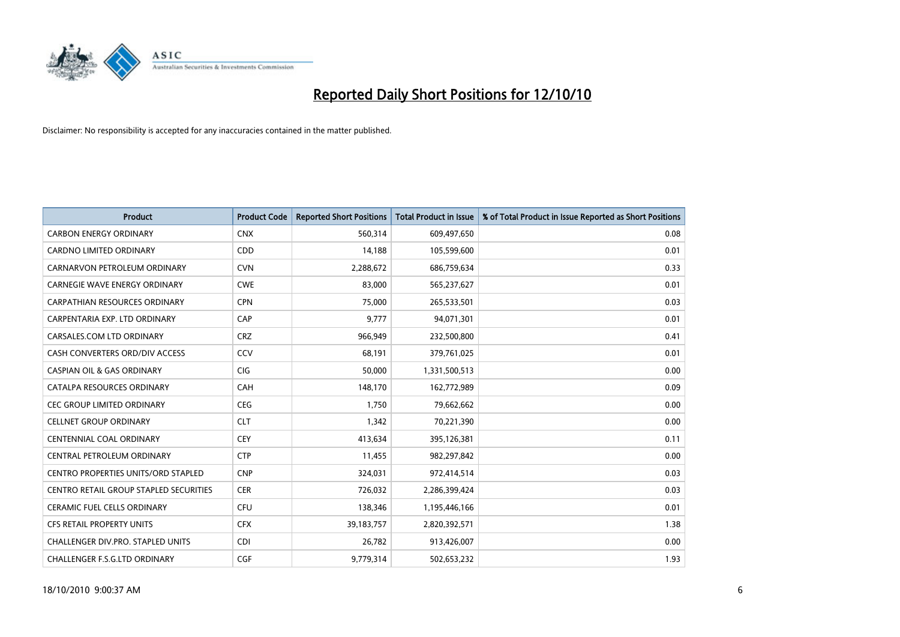

| <b>Product</b>                             | <b>Product Code</b> | <b>Reported Short Positions</b> | Total Product in Issue | % of Total Product in Issue Reported as Short Positions |
|--------------------------------------------|---------------------|---------------------------------|------------------------|---------------------------------------------------------|
| <b>CARBON ENERGY ORDINARY</b>              | <b>CNX</b>          | 560,314                         | 609,497,650            | 0.08                                                    |
| CARDNO LIMITED ORDINARY                    | CDD                 | 14,188                          | 105,599,600            | 0.01                                                    |
| CARNARVON PETROLEUM ORDINARY               | <b>CVN</b>          | 2,288,672                       | 686,759,634            | 0.33                                                    |
| CARNEGIE WAVE ENERGY ORDINARY              | <b>CWE</b>          | 83,000                          | 565,237,627            | 0.01                                                    |
| <b>CARPATHIAN RESOURCES ORDINARY</b>       | <b>CPN</b>          | 75,000                          | 265,533,501            | 0.03                                                    |
| CARPENTARIA EXP. LTD ORDINARY              | CAP                 | 9,777                           | 94,071,301             | 0.01                                                    |
| CARSALES.COM LTD ORDINARY                  | <b>CRZ</b>          | 966.949                         | 232,500,800            | 0.41                                                    |
| CASH CONVERTERS ORD/DIV ACCESS             | CCV                 | 68,191                          | 379,761,025            | 0.01                                                    |
| <b>CASPIAN OIL &amp; GAS ORDINARY</b>      | CIG                 | 50,000                          | 1,331,500,513          | 0.00                                                    |
| CATALPA RESOURCES ORDINARY                 | CAH                 | 148,170                         | 162,772,989            | 0.09                                                    |
| CEC GROUP LIMITED ORDINARY                 | <b>CEG</b>          | 1,750                           | 79,662,662             | 0.00                                                    |
| <b>CELLNET GROUP ORDINARY</b>              | <b>CLT</b>          | 1,342                           | 70,221,390             | 0.00                                                    |
| CENTENNIAL COAL ORDINARY                   | CEY                 | 413,634                         | 395,126,381            | 0.11                                                    |
| CENTRAL PETROLEUM ORDINARY                 | <b>CTP</b>          | 11,455                          | 982,297,842            | 0.00                                                    |
| <b>CENTRO PROPERTIES UNITS/ORD STAPLED</b> | <b>CNP</b>          | 324,031                         | 972,414,514            | 0.03                                                    |
| CENTRO RETAIL GROUP STAPLED SECURITIES     | <b>CER</b>          | 726,032                         | 2,286,399,424          | 0.03                                                    |
| <b>CERAMIC FUEL CELLS ORDINARY</b>         | <b>CFU</b>          | 138,346                         | 1,195,446,166          | 0.01                                                    |
| <b>CFS RETAIL PROPERTY UNITS</b>           | <b>CFX</b>          | 39,183,757                      | 2,820,392,571          | 1.38                                                    |
| <b>CHALLENGER DIV.PRO. STAPLED UNITS</b>   | <b>CDI</b>          | 26,782                          | 913,426,007            | 0.00                                                    |
| CHALLENGER F.S.G.LTD ORDINARY              | CGF                 | 9,779,314                       | 502,653,232            | 1.93                                                    |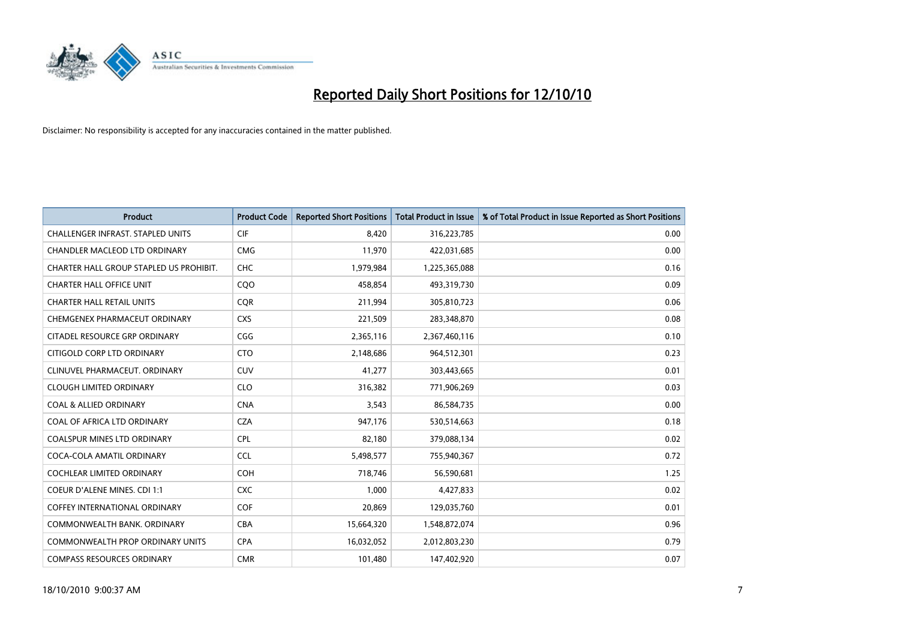

| <b>Product</b>                           | <b>Product Code</b> | <b>Reported Short Positions</b> | Total Product in Issue | % of Total Product in Issue Reported as Short Positions |
|------------------------------------------|---------------------|---------------------------------|------------------------|---------------------------------------------------------|
| <b>CHALLENGER INFRAST, STAPLED UNITS</b> | CIF                 | 8,420                           | 316,223,785            | 0.00                                                    |
| CHANDLER MACLEOD LTD ORDINARY            | <b>CMG</b>          | 11,970                          | 422,031,685            | 0.00                                                    |
| CHARTER HALL GROUP STAPLED US PROHIBIT.  | CHC                 | 1,979,984                       | 1,225,365,088          | 0.16                                                    |
| <b>CHARTER HALL OFFICE UNIT</b>          | CQ <sub>O</sub>     | 458,854                         | 493,319,730            | 0.09                                                    |
| <b>CHARTER HALL RETAIL UNITS</b>         | <b>COR</b>          | 211,994                         | 305,810,723            | 0.06                                                    |
| CHEMGENEX PHARMACEUT ORDINARY            | <b>CXS</b>          | 221,509                         | 283,348,870            | 0.08                                                    |
| CITADEL RESOURCE GRP ORDINARY            | CGG                 | 2,365,116                       | 2,367,460,116          | 0.10                                                    |
| CITIGOLD CORP LTD ORDINARY               | <b>CTO</b>          | 2,148,686                       | 964,512,301            | 0.23                                                    |
| CLINUVEL PHARMACEUT. ORDINARY            | CUV                 | 41,277                          | 303,443,665            | 0.01                                                    |
| <b>CLOUGH LIMITED ORDINARY</b>           | <b>CLO</b>          | 316,382                         | 771,906,269            | 0.03                                                    |
| <b>COAL &amp; ALLIED ORDINARY</b>        | <b>CNA</b>          | 3,543                           | 86,584,735             | 0.00                                                    |
| COAL OF AFRICA LTD ORDINARY              | <b>CZA</b>          | 947,176                         | 530,514,663            | 0.18                                                    |
| <b>COALSPUR MINES LTD ORDINARY</b>       | <b>CPL</b>          | 82,180                          | 379,088,134            | 0.02                                                    |
| COCA-COLA AMATIL ORDINARY                | CCL                 | 5,498,577                       | 755,940,367            | 0.72                                                    |
| <b>COCHLEAR LIMITED ORDINARY</b>         | <b>COH</b>          | 718,746                         | 56,590,681             | 1.25                                                    |
| COEUR D'ALENE MINES. CDI 1:1             | <b>CXC</b>          | 1,000                           | 4,427,833              | 0.02                                                    |
| <b>COFFEY INTERNATIONAL ORDINARY</b>     | COF                 | 20,869                          | 129,035,760            | 0.01                                                    |
| COMMONWEALTH BANK, ORDINARY              | <b>CBA</b>          | 15,664,320                      | 1,548,872,074          | 0.96                                                    |
| <b>COMMONWEALTH PROP ORDINARY UNITS</b>  | <b>CPA</b>          | 16,032,052                      | 2,012,803,230          | 0.79                                                    |
| <b>COMPASS RESOURCES ORDINARY</b>        | <b>CMR</b>          | 101,480                         | 147,402,920            | 0.07                                                    |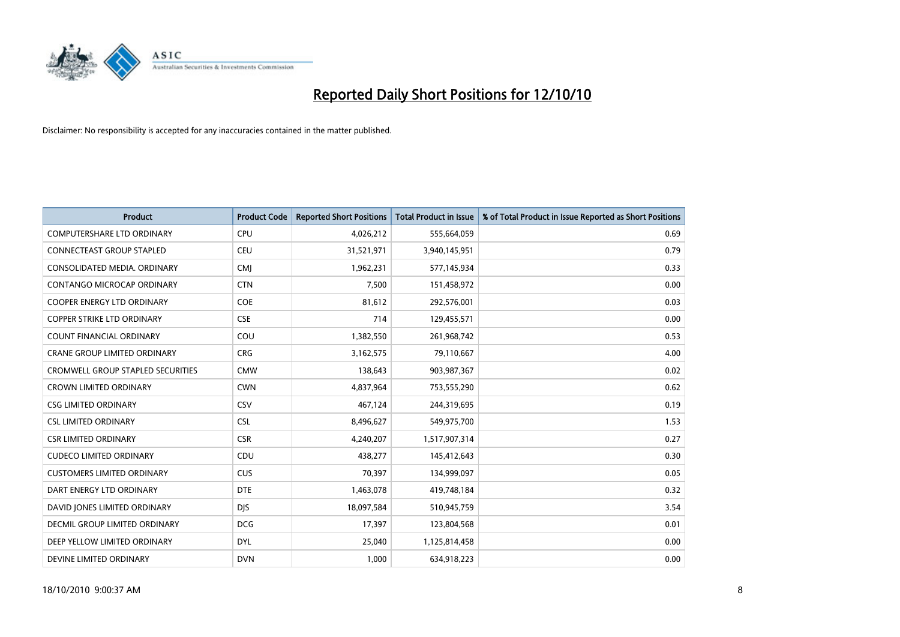

| <b>Product</b>                      | <b>Product Code</b> | <b>Reported Short Positions</b> | <b>Total Product in Issue</b> | % of Total Product in Issue Reported as Short Positions |
|-------------------------------------|---------------------|---------------------------------|-------------------------------|---------------------------------------------------------|
| <b>COMPUTERSHARE LTD ORDINARY</b>   | <b>CPU</b>          | 4,026,212                       | 555,664,059                   | 0.69                                                    |
| CONNECTEAST GROUP STAPLED           | CEU                 | 31,521,971                      | 3,940,145,951                 | 0.79                                                    |
| CONSOLIDATED MEDIA, ORDINARY        | <b>CMI</b>          | 1,962,231                       | 577,145,934                   | 0.33                                                    |
| CONTANGO MICROCAP ORDINARY          | <b>CTN</b>          | 7,500                           | 151,458,972                   | 0.00                                                    |
| <b>COOPER ENERGY LTD ORDINARY</b>   | <b>COE</b>          | 81,612                          | 292,576,001                   | 0.03                                                    |
| COPPER STRIKE LTD ORDINARY          | <b>CSE</b>          | 714                             | 129,455,571                   | 0.00                                                    |
| <b>COUNT FINANCIAL ORDINARY</b>     | COU                 | 1,382,550                       | 261,968,742                   | 0.53                                                    |
| <b>CRANE GROUP LIMITED ORDINARY</b> | <b>CRG</b>          | 3,162,575                       | 79,110,667                    | 4.00                                                    |
| CROMWELL GROUP STAPLED SECURITIES   | <b>CMW</b>          | 138,643                         | 903,987,367                   | 0.02                                                    |
| <b>CROWN LIMITED ORDINARY</b>       | <b>CWN</b>          | 4,837,964                       | 753,555,290                   | 0.62                                                    |
| <b>CSG LIMITED ORDINARY</b>         | CSV                 | 467,124                         | 244,319,695                   | 0.19                                                    |
| <b>CSL LIMITED ORDINARY</b>         | <b>CSL</b>          | 8,496,627                       | 549,975,700                   | 1.53                                                    |
| <b>CSR LIMITED ORDINARY</b>         | <b>CSR</b>          | 4,240,207                       | 1,517,907,314                 | 0.27                                                    |
| <b>CUDECO LIMITED ORDINARY</b>      | CDU                 | 438,277                         | 145,412,643                   | 0.30                                                    |
| <b>CUSTOMERS LIMITED ORDINARY</b>   | <b>CUS</b>          | 70,397                          | 134,999,097                   | 0.05                                                    |
| DART ENERGY LTD ORDINARY            | <b>DTE</b>          | 1,463,078                       | 419,748,184                   | 0.32                                                    |
| DAVID JONES LIMITED ORDINARY        | <b>DJS</b>          | 18,097,584                      | 510,945,759                   | 3.54                                                    |
| DECMIL GROUP LIMITED ORDINARY       | <b>DCG</b>          | 17,397                          | 123,804,568                   | 0.01                                                    |
| DEEP YELLOW LIMITED ORDINARY        | <b>DYL</b>          | 25,040                          | 1,125,814,458                 | 0.00                                                    |
| DEVINE LIMITED ORDINARY             | <b>DVN</b>          | 1.000                           | 634,918,223                   | 0.00                                                    |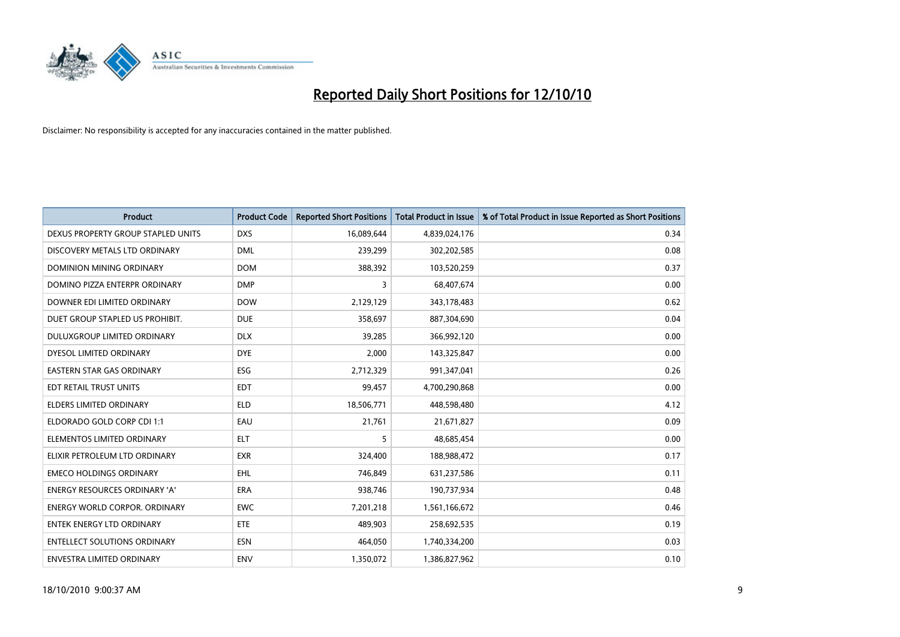

| <b>Product</b>                       | <b>Product Code</b> | <b>Reported Short Positions</b> | <b>Total Product in Issue</b> | % of Total Product in Issue Reported as Short Positions |
|--------------------------------------|---------------------|---------------------------------|-------------------------------|---------------------------------------------------------|
| DEXUS PROPERTY GROUP STAPLED UNITS   | <b>DXS</b>          | 16,089,644                      | 4,839,024,176                 | 0.34                                                    |
| DISCOVERY METALS LTD ORDINARY        | <b>DML</b>          | 239,299                         | 302,202,585                   | 0.08                                                    |
| <b>DOMINION MINING ORDINARY</b>      | <b>DOM</b>          | 388,392                         | 103,520,259                   | 0.37                                                    |
| DOMINO PIZZA ENTERPR ORDINARY        | <b>DMP</b>          | 3                               | 68,407,674                    | 0.00                                                    |
| DOWNER EDI LIMITED ORDINARY          | <b>DOW</b>          | 2,129,129                       | 343,178,483                   | 0.62                                                    |
| DUET GROUP STAPLED US PROHIBIT.      | <b>DUE</b>          | 358,697                         | 887,304,690                   | 0.04                                                    |
| DULUXGROUP LIMITED ORDINARY          | <b>DLX</b>          | 39.285                          | 366,992,120                   | 0.00                                                    |
| DYESOL LIMITED ORDINARY              | <b>DYE</b>          | 2,000                           | 143,325,847                   | 0.00                                                    |
| EASTERN STAR GAS ORDINARY            | ESG                 | 2,712,329                       | 991,347,041                   | 0.26                                                    |
| EDT RETAIL TRUST UNITS               | <b>EDT</b>          | 99,457                          | 4,700,290,868                 | 0.00                                                    |
| ELDERS LIMITED ORDINARY              | <b>ELD</b>          | 18,506,771                      | 448,598,480                   | 4.12                                                    |
| ELDORADO GOLD CORP CDI 1:1           | EAU                 | 21,761                          | 21,671,827                    | 0.09                                                    |
| ELEMENTOS LIMITED ORDINARY           | <b>ELT</b>          | 5                               | 48,685,454                    | 0.00                                                    |
| ELIXIR PETROLEUM LTD ORDINARY        | <b>EXR</b>          | 324,400                         | 188,988,472                   | 0.17                                                    |
| <b>EMECO HOLDINGS ORDINARY</b>       | <b>EHL</b>          | 746,849                         | 631,237,586                   | 0.11                                                    |
| ENERGY RESOURCES ORDINARY 'A'        | ERA                 | 938,746                         | 190,737,934                   | 0.48                                                    |
| <b>ENERGY WORLD CORPOR, ORDINARY</b> | <b>EWC</b>          | 7,201,218                       | 1,561,166,672                 | 0.46                                                    |
| <b>ENTEK ENERGY LTD ORDINARY</b>     | <b>ETE</b>          | 489,903                         | 258,692,535                   | 0.19                                                    |
| <b>ENTELLECT SOLUTIONS ORDINARY</b>  | <b>ESN</b>          | 464,050                         | 1,740,334,200                 | 0.03                                                    |
| ENVESTRA LIMITED ORDINARY            | <b>ENV</b>          | 1,350,072                       | 1,386,827,962                 | 0.10                                                    |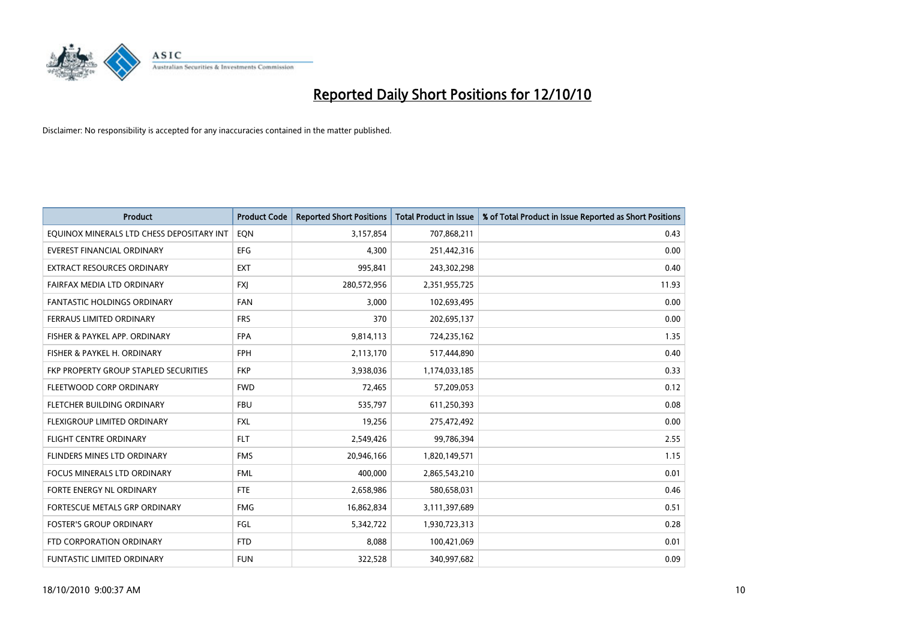

| <b>Product</b>                            | <b>Product Code</b> | <b>Reported Short Positions</b> | Total Product in Issue | % of Total Product in Issue Reported as Short Positions |
|-------------------------------------------|---------------------|---------------------------------|------------------------|---------------------------------------------------------|
| EQUINOX MINERALS LTD CHESS DEPOSITARY INT | EQN                 | 3,157,854                       | 707,868,211            | 0.43                                                    |
| EVEREST FINANCIAL ORDINARY                | <b>EFG</b>          | 4,300                           | 251,442,316            | 0.00                                                    |
| <b>EXTRACT RESOURCES ORDINARY</b>         | <b>EXT</b>          | 995,841                         | 243,302,298            | 0.40                                                    |
| FAIRFAX MEDIA LTD ORDINARY                | <b>FXJ</b>          | 280,572,956                     | 2,351,955,725          | 11.93                                                   |
| <b>FANTASTIC HOLDINGS ORDINARY</b>        | <b>FAN</b>          | 3,000                           | 102,693,495            | 0.00                                                    |
| FERRAUS LIMITED ORDINARY                  | <b>FRS</b>          | 370                             | 202,695,137            | 0.00                                                    |
| FISHER & PAYKEL APP. ORDINARY             | <b>FPA</b>          | 9,814,113                       | 724,235,162            | 1.35                                                    |
| FISHER & PAYKEL H. ORDINARY               | <b>FPH</b>          | 2,113,170                       | 517,444,890            | 0.40                                                    |
| FKP PROPERTY GROUP STAPLED SECURITIES     | <b>FKP</b>          | 3,938,036                       | 1,174,033,185          | 0.33                                                    |
| FLEETWOOD CORP ORDINARY                   | <b>FWD</b>          | 72,465                          | 57,209,053             | 0.12                                                    |
| FLETCHER BUILDING ORDINARY                | <b>FBU</b>          | 535,797                         | 611,250,393            | 0.08                                                    |
| FLEXIGROUP LIMITED ORDINARY               | <b>FXL</b>          | 19,256                          | 275,472,492            | 0.00                                                    |
| FLIGHT CENTRE ORDINARY                    | <b>FLT</b>          | 2,549,426                       | 99,786,394             | 2.55                                                    |
| FLINDERS MINES LTD ORDINARY               | <b>FMS</b>          | 20,946,166                      | 1,820,149,571          | 1.15                                                    |
| <b>FOCUS MINERALS LTD ORDINARY</b>        | <b>FML</b>          | 400,000                         | 2,865,543,210          | 0.01                                                    |
| FORTE ENERGY NL ORDINARY                  | <b>FTE</b>          | 2,658,986                       | 580,658,031            | 0.46                                                    |
| FORTESCUE METALS GRP ORDINARY             | <b>FMG</b>          | 16,862,834                      | 3,111,397,689          | 0.51                                                    |
| <b>FOSTER'S GROUP ORDINARY</b>            | FGL                 | 5,342,722                       | 1,930,723,313          | 0.28                                                    |
| FTD CORPORATION ORDINARY                  | <b>FTD</b>          | 8,088                           | 100,421,069            | 0.01                                                    |
| FUNTASTIC LIMITED ORDINARY                | <b>FUN</b>          | 322,528                         | 340,997,682            | 0.09                                                    |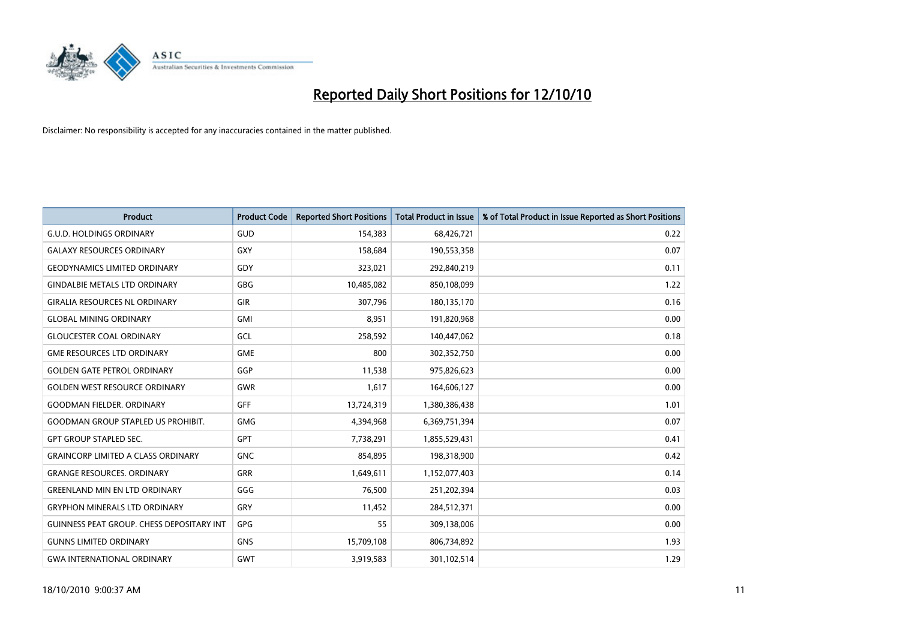

| <b>Product</b>                            | <b>Product Code</b> | <b>Reported Short Positions</b> | <b>Total Product in Issue</b> | % of Total Product in Issue Reported as Short Positions |
|-------------------------------------------|---------------------|---------------------------------|-------------------------------|---------------------------------------------------------|
| <b>G.U.D. HOLDINGS ORDINARY</b>           | GUD                 | 154,383                         | 68,426,721                    | 0.22                                                    |
| <b>GALAXY RESOURCES ORDINARY</b>          | <b>GXY</b>          | 158.684                         | 190,553,358                   | 0.07                                                    |
| <b>GEODYNAMICS LIMITED ORDINARY</b>       | GDY                 | 323,021                         | 292,840,219                   | 0.11                                                    |
| <b>GINDALBIE METALS LTD ORDINARY</b>      | <b>GBG</b>          | 10,485,082                      | 850,108,099                   | 1.22                                                    |
| <b>GIRALIA RESOURCES NL ORDINARY</b>      | <b>GIR</b>          | 307.796                         | 180,135,170                   | 0.16                                                    |
| <b>GLOBAL MINING ORDINARY</b>             | <b>GMI</b>          | 8,951                           | 191,820,968                   | 0.00                                                    |
| <b>GLOUCESTER COAL ORDINARY</b>           | GCL                 | 258,592                         | 140,447,062                   | 0.18                                                    |
| <b>GME RESOURCES LTD ORDINARY</b>         | <b>GME</b>          | 800                             | 302,352,750                   | 0.00                                                    |
| <b>GOLDEN GATE PETROL ORDINARY</b>        | GGP                 | 11,538                          | 975,826,623                   | 0.00                                                    |
| <b>GOLDEN WEST RESOURCE ORDINARY</b>      | <b>GWR</b>          | 1,617                           | 164,606,127                   | 0.00                                                    |
| <b>GOODMAN FIELDER, ORDINARY</b>          | <b>GFF</b>          | 13,724,319                      | 1,380,386,438                 | 1.01                                                    |
| <b>GOODMAN GROUP STAPLED US PROHIBIT.</b> | <b>GMG</b>          | 4,394,968                       | 6,369,751,394                 | 0.07                                                    |
| <b>GPT GROUP STAPLED SEC.</b>             | GPT                 | 7.738.291                       | 1,855,529,431                 | 0.41                                                    |
| <b>GRAINCORP LIMITED A CLASS ORDINARY</b> | <b>GNC</b>          | 854.895                         | 198,318,900                   | 0.42                                                    |
| <b>GRANGE RESOURCES. ORDINARY</b>         | GRR                 | 1,649,611                       | 1,152,077,403                 | 0.14                                                    |
| <b>GREENLAND MIN EN LTD ORDINARY</b>      | GGG                 | 76,500                          | 251,202,394                   | 0.03                                                    |
| <b>GRYPHON MINERALS LTD ORDINARY</b>      | GRY                 | 11,452                          | 284,512,371                   | 0.00                                                    |
| GUINNESS PEAT GROUP. CHESS DEPOSITARY INT | GPG                 | 55                              | 309,138,006                   | 0.00                                                    |
| <b>GUNNS LIMITED ORDINARY</b>             | <b>GNS</b>          | 15,709,108                      | 806,734,892                   | 1.93                                                    |
| <b>GWA INTERNATIONAL ORDINARY</b>         | <b>GWT</b>          | 3,919,583                       | 301,102,514                   | 1.29                                                    |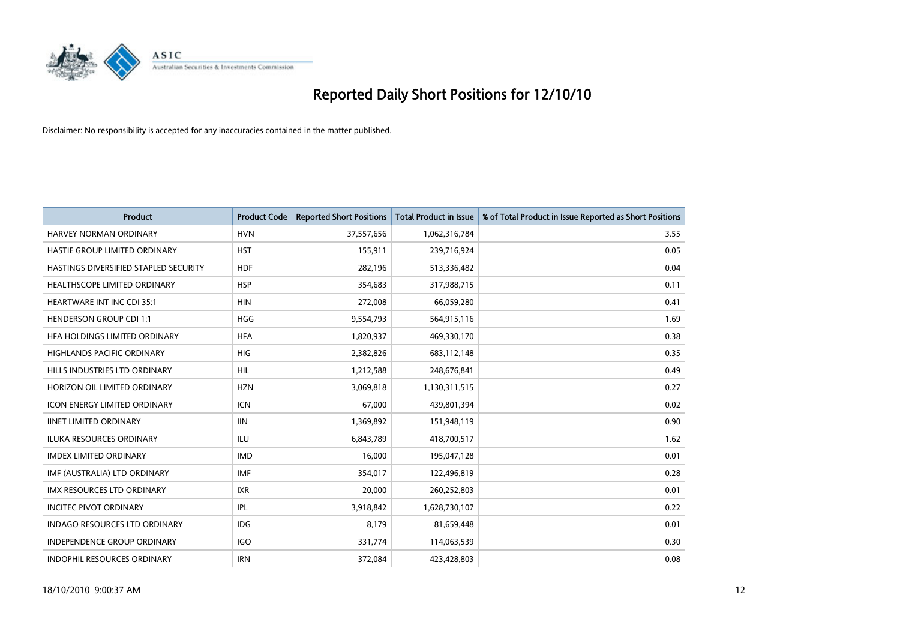

| <b>Product</b>                        | <b>Product Code</b> | <b>Reported Short Positions</b> | Total Product in Issue | % of Total Product in Issue Reported as Short Positions |
|---------------------------------------|---------------------|---------------------------------|------------------------|---------------------------------------------------------|
| <b>HARVEY NORMAN ORDINARY</b>         | <b>HVN</b>          | 37,557,656                      | 1,062,316,784          | 3.55                                                    |
| HASTIE GROUP LIMITED ORDINARY         | <b>HST</b>          | 155,911                         | 239,716,924            | 0.05                                                    |
| HASTINGS DIVERSIFIED STAPLED SECURITY | <b>HDF</b>          | 282,196                         | 513,336,482            | 0.04                                                    |
| HEALTHSCOPE LIMITED ORDINARY          | <b>HSP</b>          | 354,683                         | 317,988,715            | 0.11                                                    |
| <b>HEARTWARE INT INC CDI 35:1</b>     | <b>HIN</b>          | 272,008                         | 66,059,280             | 0.41                                                    |
| <b>HENDERSON GROUP CDI 1:1</b>        | <b>HGG</b>          | 9,554,793                       | 564,915,116            | 1.69                                                    |
| HFA HOLDINGS LIMITED ORDINARY         | <b>HFA</b>          | 1,820,937                       | 469,330,170            | 0.38                                                    |
| HIGHLANDS PACIFIC ORDINARY            | HIG                 | 2,382,826                       | 683,112,148            | 0.35                                                    |
| HILLS INDUSTRIES LTD ORDINARY         | <b>HIL</b>          | 1,212,588                       | 248,676,841            | 0.49                                                    |
| HORIZON OIL LIMITED ORDINARY          | <b>HZN</b>          | 3,069,818                       | 1,130,311,515          | 0.27                                                    |
| <b>ICON ENERGY LIMITED ORDINARY</b>   | <b>ICN</b>          | 67,000                          | 439,801,394            | 0.02                                                    |
| <b>IINET LIMITED ORDINARY</b>         | <b>IIN</b>          | 1,369,892                       | 151,948,119            | 0.90                                                    |
| <b>ILUKA RESOURCES ORDINARY</b>       | <b>ILU</b>          | 6,843,789                       | 418,700,517            | 1.62                                                    |
| <b>IMDEX LIMITED ORDINARY</b>         | <b>IMD</b>          | 16,000                          | 195,047,128            | 0.01                                                    |
| IMF (AUSTRALIA) LTD ORDINARY          | <b>IMF</b>          | 354,017                         | 122,496,819            | 0.28                                                    |
| <b>IMX RESOURCES LTD ORDINARY</b>     | <b>IXR</b>          | 20,000                          | 260,252,803            | 0.01                                                    |
| <b>INCITEC PIVOT ORDINARY</b>         | <b>IPL</b>          | 3,918,842                       | 1,628,730,107          | 0.22                                                    |
| INDAGO RESOURCES LTD ORDINARY         | <b>IDG</b>          | 8,179                           | 81,659,448             | 0.01                                                    |
| <b>INDEPENDENCE GROUP ORDINARY</b>    | <b>IGO</b>          | 331,774                         | 114,063,539            | 0.30                                                    |
| <b>INDOPHIL RESOURCES ORDINARY</b>    | <b>IRN</b>          | 372,084                         | 423,428,803            | 0.08                                                    |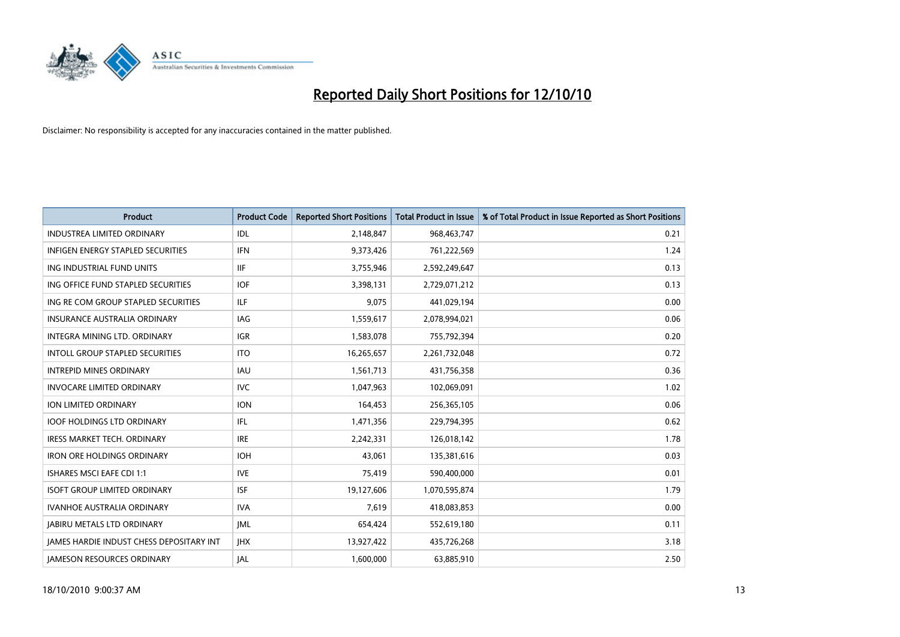

| <b>Product</b>                                  | <b>Product Code</b> | <b>Reported Short Positions</b> | Total Product in Issue | % of Total Product in Issue Reported as Short Positions |
|-------------------------------------------------|---------------------|---------------------------------|------------------------|---------------------------------------------------------|
| <b>INDUSTREA LIMITED ORDINARY</b>               | IDL                 | 2,148,847                       | 968,463,747            | 0.21                                                    |
| INFIGEN ENERGY STAPLED SECURITIES               | <b>IFN</b>          | 9,373,426                       | 761,222,569            | 1.24                                                    |
| ING INDUSTRIAL FUND UNITS                       | <b>IIF</b>          | 3,755,946                       | 2,592,249,647          | 0.13                                                    |
| ING OFFICE FUND STAPLED SECURITIES              | <b>IOF</b>          | 3,398,131                       | 2,729,071,212          | 0.13                                                    |
| ING RE COM GROUP STAPLED SECURITIES             | <b>ILF</b>          | 9,075                           | 441,029,194            | 0.00                                                    |
| <b>INSURANCE AUSTRALIA ORDINARY</b>             | IAG                 | 1,559,617                       | 2,078,994,021          | 0.06                                                    |
| INTEGRA MINING LTD, ORDINARY                    | <b>IGR</b>          | 1,583,078                       | 755,792,394            | 0.20                                                    |
| <b>INTOLL GROUP STAPLED SECURITIES</b>          | <b>ITO</b>          | 16,265,657                      | 2,261,732,048          | 0.72                                                    |
| <b>INTREPID MINES ORDINARY</b>                  | <b>IAU</b>          | 1,561,713                       | 431,756,358            | 0.36                                                    |
| <b>INVOCARE LIMITED ORDINARY</b>                | <b>IVC</b>          | 1,047,963                       | 102,069,091            | 1.02                                                    |
| ION LIMITED ORDINARY                            | <b>ION</b>          | 164,453                         | 256,365,105            | 0.06                                                    |
| <b>IOOF HOLDINGS LTD ORDINARY</b>               | IFL.                | 1,471,356                       | 229,794,395            | 0.62                                                    |
| <b>IRESS MARKET TECH. ORDINARY</b>              | <b>IRE</b>          | 2,242,331                       | 126,018,142            | 1.78                                                    |
| <b>IRON ORE HOLDINGS ORDINARY</b>               | <b>IOH</b>          | 43,061                          | 135,381,616            | 0.03                                                    |
| <b>ISHARES MSCI EAFE CDI 1:1</b>                | <b>IVE</b>          | 75,419                          | 590,400,000            | 0.01                                                    |
| <b>ISOFT GROUP LIMITED ORDINARY</b>             | <b>ISF</b>          | 19,127,606                      | 1,070,595,874          | 1.79                                                    |
| <b>IVANHOE AUSTRALIA ORDINARY</b>               | <b>IVA</b>          | 7,619                           | 418,083,853            | 0.00                                                    |
| <b>JABIRU METALS LTD ORDINARY</b>               | <b>JML</b>          | 654,424                         | 552,619,180            | 0.11                                                    |
| <b>IAMES HARDIE INDUST CHESS DEPOSITARY INT</b> | <b>IHX</b>          | 13,927,422                      | 435,726,268            | 3.18                                                    |
| <b>JAMESON RESOURCES ORDINARY</b>               | <b>JAL</b>          | 1,600,000                       | 63,885,910             | 2.50                                                    |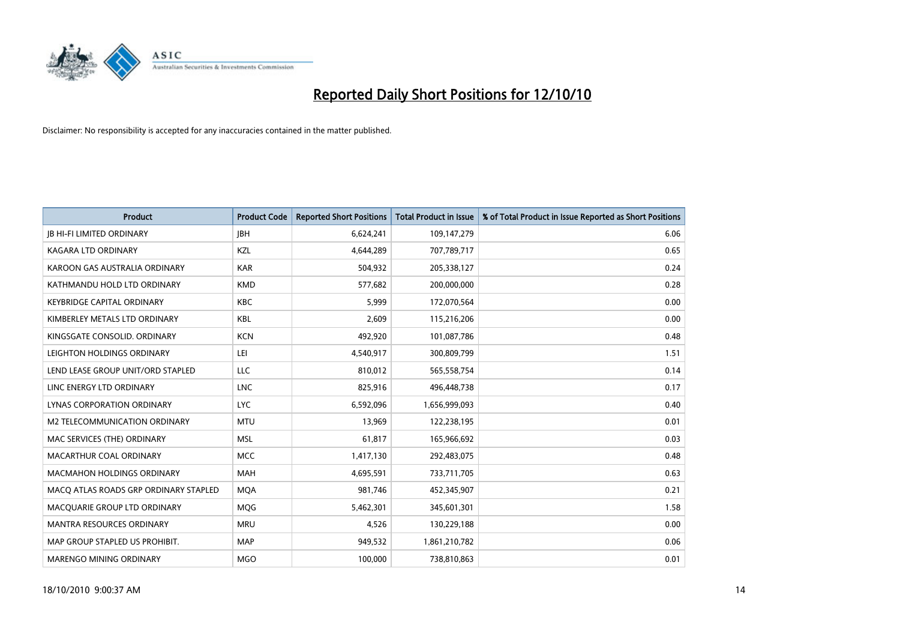

| <b>Product</b>                        | <b>Product Code</b> | <b>Reported Short Positions</b> | <b>Total Product in Issue</b> | % of Total Product in Issue Reported as Short Positions |
|---------------------------------------|---------------------|---------------------------------|-------------------------------|---------------------------------------------------------|
| <b>JB HI-FI LIMITED ORDINARY</b>      | <b>JBH</b>          | 6,624,241                       | 109,147,279                   | 6.06                                                    |
| KAGARA LTD ORDINARY                   | KZL                 | 4,644,289                       | 707,789,717                   | 0.65                                                    |
| KAROON GAS AUSTRALIA ORDINARY         | <b>KAR</b>          | 504,932                         | 205,338,127                   | 0.24                                                    |
| KATHMANDU HOLD LTD ORDINARY           | <b>KMD</b>          | 577,682                         | 200,000,000                   | 0.28                                                    |
| <b>KEYBRIDGE CAPITAL ORDINARY</b>     | <b>KBC</b>          | 5,999                           | 172,070,564                   | 0.00                                                    |
| KIMBERLEY METALS LTD ORDINARY         | <b>KBL</b>          | 2,609                           | 115,216,206                   | 0.00                                                    |
| KINGSGATE CONSOLID. ORDINARY          | <b>KCN</b>          | 492.920                         | 101,087,786                   | 0.48                                                    |
| LEIGHTON HOLDINGS ORDINARY            | LEI                 | 4,540,917                       | 300,809,799                   | 1.51                                                    |
| LEND LEASE GROUP UNIT/ORD STAPLED     | LLC                 | 810,012                         | 565,558,754                   | 0.14                                                    |
| LINC ENERGY LTD ORDINARY              | <b>LNC</b>          | 825,916                         | 496,448,738                   | 0.17                                                    |
| LYNAS CORPORATION ORDINARY            | <b>LYC</b>          | 6,592,096                       | 1,656,999,093                 | 0.40                                                    |
| M2 TELECOMMUNICATION ORDINARY         | <b>MTU</b>          | 13,969                          | 122,238,195                   | 0.01                                                    |
| MAC SERVICES (THE) ORDINARY           | <b>MSL</b>          | 61.817                          | 165,966,692                   | 0.03                                                    |
| MACARTHUR COAL ORDINARY               | <b>MCC</b>          | 1,417,130                       | 292,483,075                   | 0.48                                                    |
| <b>MACMAHON HOLDINGS ORDINARY</b>     | <b>MAH</b>          | 4,695,591                       | 733,711,705                   | 0.63                                                    |
| MACQ ATLAS ROADS GRP ORDINARY STAPLED | <b>MOA</b>          | 981,746                         | 452,345,907                   | 0.21                                                    |
| MACQUARIE GROUP LTD ORDINARY          | <b>MQG</b>          | 5,462,301                       | 345,601,301                   | 1.58                                                    |
| MANTRA RESOURCES ORDINARY             | <b>MRU</b>          | 4,526                           | 130,229,188                   | 0.00                                                    |
| MAP GROUP STAPLED US PROHIBIT.        | <b>MAP</b>          | 949,532                         | 1,861,210,782                 | 0.06                                                    |
| <b>MARENGO MINING ORDINARY</b>        | <b>MGO</b>          | 100.000                         | 738,810,863                   | 0.01                                                    |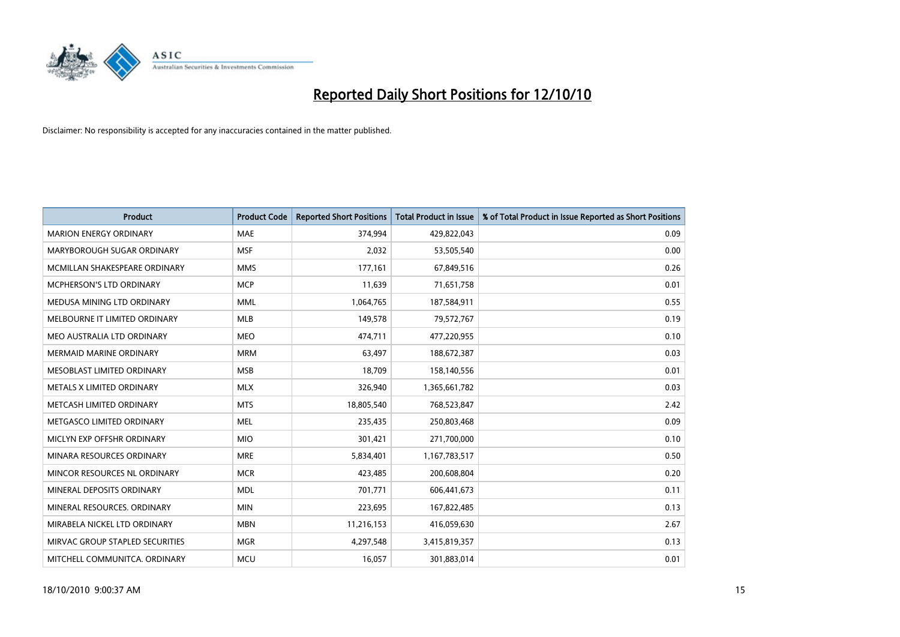

| <b>Product</b>                  | <b>Product Code</b> | <b>Reported Short Positions</b> | <b>Total Product in Issue</b> | % of Total Product in Issue Reported as Short Positions |
|---------------------------------|---------------------|---------------------------------|-------------------------------|---------------------------------------------------------|
| <b>MARION ENERGY ORDINARY</b>   | <b>MAE</b>          | 374,994                         | 429,822,043                   | 0.09                                                    |
| MARYBOROUGH SUGAR ORDINARY      | <b>MSF</b>          | 2,032                           | 53,505,540                    | 0.00                                                    |
| MCMILLAN SHAKESPEARE ORDINARY   | <b>MMS</b>          | 177,161                         | 67,849,516                    | 0.26                                                    |
| MCPHERSON'S LTD ORDINARY        | <b>MCP</b>          | 11,639                          | 71,651,758                    | 0.01                                                    |
| MEDUSA MINING LTD ORDINARY      | <b>MML</b>          | 1,064,765                       | 187,584,911                   | 0.55                                                    |
| MELBOURNE IT LIMITED ORDINARY   | <b>MLB</b>          | 149,578                         | 79,572,767                    | 0.19                                                    |
| MEO AUSTRALIA LTD ORDINARY      | <b>MEO</b>          | 474,711                         | 477,220,955                   | 0.10                                                    |
| <b>MERMAID MARINE ORDINARY</b>  | <b>MRM</b>          | 63,497                          | 188,672,387                   | 0.03                                                    |
| MESOBLAST LIMITED ORDINARY      | <b>MSB</b>          | 18.709                          | 158,140,556                   | 0.01                                                    |
| METALS X LIMITED ORDINARY       | <b>MLX</b>          | 326,940                         | 1,365,661,782                 | 0.03                                                    |
| METCASH LIMITED ORDINARY        | <b>MTS</b>          | 18,805,540                      | 768,523,847                   | 2.42                                                    |
| METGASCO LIMITED ORDINARY       | <b>MEL</b>          | 235,435                         | 250,803,468                   | 0.09                                                    |
| MICLYN EXP OFFSHR ORDINARY      | <b>MIO</b>          | 301,421                         | 271,700,000                   | 0.10                                                    |
| MINARA RESOURCES ORDINARY       | <b>MRE</b>          | 5,834,401                       | 1,167,783,517                 | 0.50                                                    |
| MINCOR RESOURCES NL ORDINARY    | <b>MCR</b>          | 423,485                         | 200,608,804                   | 0.20                                                    |
| MINERAL DEPOSITS ORDINARY       | <b>MDL</b>          | 701,771                         | 606,441,673                   | 0.11                                                    |
| MINERAL RESOURCES. ORDINARY     | <b>MIN</b>          | 223,695                         | 167,822,485                   | 0.13                                                    |
| MIRABELA NICKEL LTD ORDINARY    | <b>MBN</b>          | 11,216,153                      | 416,059,630                   | 2.67                                                    |
| MIRVAC GROUP STAPLED SECURITIES | <b>MGR</b>          | 4,297,548                       | 3,415,819,357                 | 0.13                                                    |
| MITCHELL COMMUNITCA. ORDINARY   | <b>MCU</b>          | 16,057                          | 301,883,014                   | 0.01                                                    |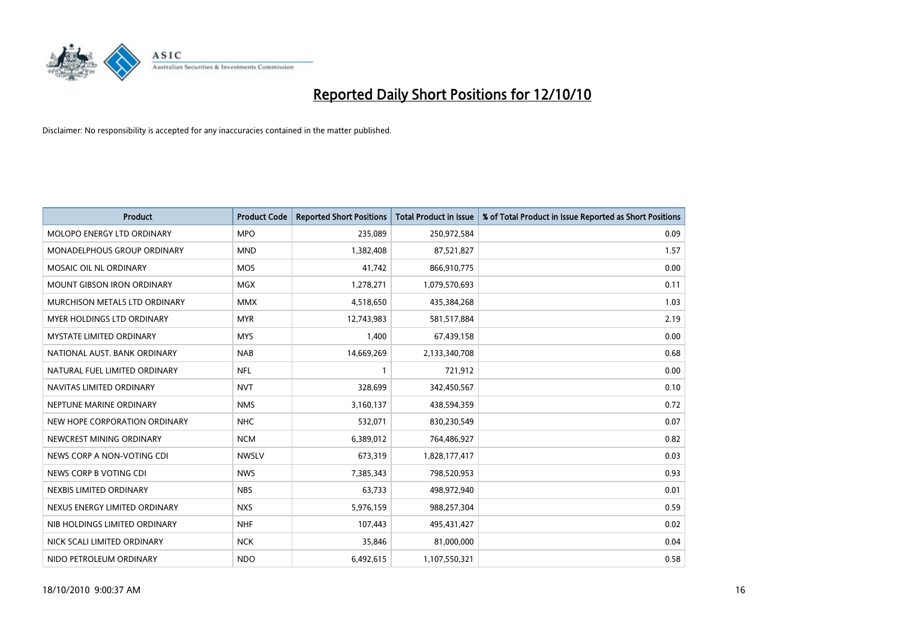

| <b>Product</b>                    | <b>Product Code</b> | <b>Reported Short Positions</b> | <b>Total Product in Issue</b> | % of Total Product in Issue Reported as Short Positions |
|-----------------------------------|---------------------|---------------------------------|-------------------------------|---------------------------------------------------------|
| MOLOPO ENERGY LTD ORDINARY        | <b>MPO</b>          | 235,089                         | 250,972,584                   | 0.09                                                    |
| MONADELPHOUS GROUP ORDINARY       | <b>MND</b>          | 1,382,408                       | 87,521,827                    | 1.57                                                    |
| MOSAIC OIL NL ORDINARY            | <b>MOS</b>          | 41,742                          | 866,910,775                   | 0.00                                                    |
| <b>MOUNT GIBSON IRON ORDINARY</b> | <b>MGX</b>          | 1,278,271                       | 1,079,570,693                 | 0.11                                                    |
| MURCHISON METALS LTD ORDINARY     | <b>MMX</b>          | 4,518,650                       | 435,384,268                   | 1.03                                                    |
| MYER HOLDINGS LTD ORDINARY        | <b>MYR</b>          | 12,743,983                      | 581,517,884                   | 2.19                                                    |
| MYSTATE LIMITED ORDINARY          | <b>MYS</b>          | 1,400                           | 67,439,158                    | 0.00                                                    |
| NATIONAL AUST, BANK ORDINARY      | <b>NAB</b>          | 14,669,269                      | 2,133,340,708                 | 0.68                                                    |
| NATURAL FUEL LIMITED ORDINARY     | <b>NFL</b>          |                                 | 721,912                       | 0.00                                                    |
| NAVITAS LIMITED ORDINARY          | <b>NVT</b>          | 328,699                         | 342,450,567                   | 0.10                                                    |
| NEPTUNE MARINE ORDINARY           | <b>NMS</b>          | 3,160,137                       | 438,594,359                   | 0.72                                                    |
| NEW HOPE CORPORATION ORDINARY     | <b>NHC</b>          | 532,071                         | 830,230,549                   | 0.07                                                    |
| NEWCREST MINING ORDINARY          | <b>NCM</b>          | 6,389,012                       | 764,486,927                   | 0.82                                                    |
| NEWS CORP A NON-VOTING CDI        | <b>NWSLV</b>        | 673,319                         | 1,828,177,417                 | 0.03                                                    |
| NEWS CORP B VOTING CDI            | <b>NWS</b>          | 7,385,343                       | 798,520,953                   | 0.93                                                    |
| NEXBIS LIMITED ORDINARY           | <b>NBS</b>          | 63,733                          | 498,972,940                   | 0.01                                                    |
| NEXUS ENERGY LIMITED ORDINARY     | <b>NXS</b>          | 5,976,159                       | 988,257,304                   | 0.59                                                    |
| NIB HOLDINGS LIMITED ORDINARY     | <b>NHF</b>          | 107,443                         | 495,431,427                   | 0.02                                                    |
| NICK SCALI LIMITED ORDINARY       | <b>NCK</b>          | 35,846                          | 81,000,000                    | 0.04                                                    |
| NIDO PETROLEUM ORDINARY           | <b>NDO</b>          | 6,492,615                       | 1,107,550,321                 | 0.58                                                    |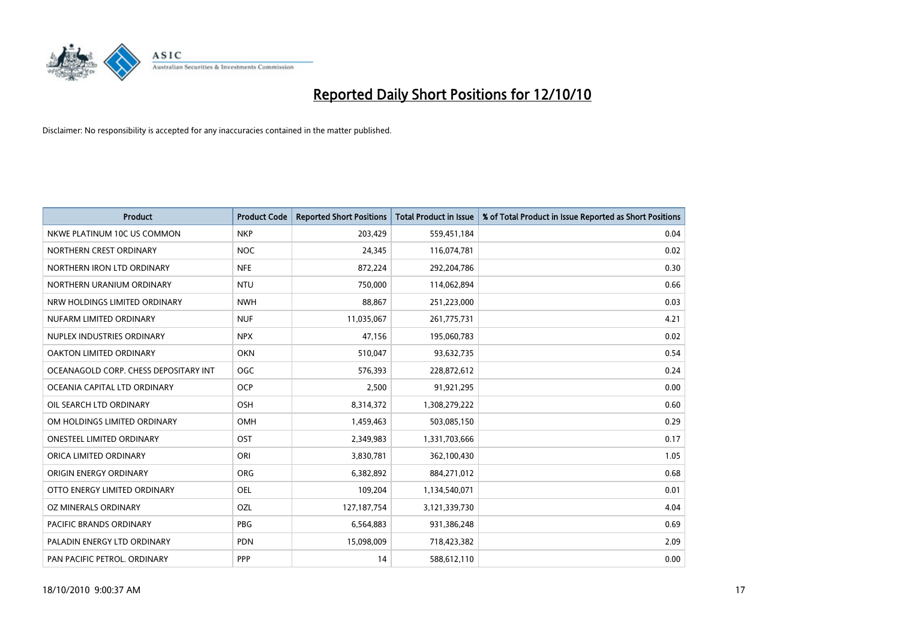

| <b>Product</b>                        | <b>Product Code</b> | <b>Reported Short Positions</b> | <b>Total Product in Issue</b> | % of Total Product in Issue Reported as Short Positions |
|---------------------------------------|---------------------|---------------------------------|-------------------------------|---------------------------------------------------------|
| NKWE PLATINUM 10C US COMMON           | <b>NKP</b>          | 203,429                         | 559,451,184                   | 0.04                                                    |
| NORTHERN CREST ORDINARY               | <b>NOC</b>          | 24,345                          | 116,074,781                   | 0.02                                                    |
| NORTHERN IRON LTD ORDINARY            | <b>NFE</b>          | 872,224                         | 292,204,786                   | 0.30                                                    |
| NORTHERN URANIUM ORDINARY             | <b>NTU</b>          | 750,000                         | 114,062,894                   | 0.66                                                    |
| NRW HOLDINGS LIMITED ORDINARY         | <b>NWH</b>          | 88,867                          | 251,223,000                   | 0.03                                                    |
| NUFARM LIMITED ORDINARY               | <b>NUF</b>          | 11,035,067                      | 261,775,731                   | 4.21                                                    |
| NUPLEX INDUSTRIES ORDINARY            | <b>NPX</b>          | 47,156                          | 195,060,783                   | 0.02                                                    |
| OAKTON LIMITED ORDINARY               | <b>OKN</b>          | 510,047                         | 93,632,735                    | 0.54                                                    |
| OCEANAGOLD CORP. CHESS DEPOSITARY INT | <b>OGC</b>          | 576,393                         | 228,872,612                   | 0.24                                                    |
| OCEANIA CAPITAL LTD ORDINARY          | <b>OCP</b>          | 2,500                           | 91,921,295                    | 0.00                                                    |
| OIL SEARCH LTD ORDINARY               | <b>OSH</b>          | 8,314,372                       | 1,308,279,222                 | 0.60                                                    |
| OM HOLDINGS LIMITED ORDINARY          | <b>OMH</b>          | 1,459,463                       | 503,085,150                   | 0.29                                                    |
| <b>ONESTEEL LIMITED ORDINARY</b>      | OST                 | 2,349,983                       | 1,331,703,666                 | 0.17                                                    |
| ORICA LIMITED ORDINARY                | ORI                 | 3,830,781                       | 362,100,430                   | 1.05                                                    |
| ORIGIN ENERGY ORDINARY                | <b>ORG</b>          | 6,382,892                       | 884,271,012                   | 0.68                                                    |
| OTTO ENERGY LIMITED ORDINARY          | <b>OEL</b>          | 109,204                         | 1,134,540,071                 | 0.01                                                    |
| OZ MINERALS ORDINARY                  | OZL                 | 127, 187, 754                   | 3,121,339,730                 | 4.04                                                    |
| PACIFIC BRANDS ORDINARY               | <b>PBG</b>          | 6,564,883                       | 931,386,248                   | 0.69                                                    |
| PALADIN ENERGY LTD ORDINARY           | <b>PDN</b>          | 15,098,009                      | 718,423,382                   | 2.09                                                    |
| PAN PACIFIC PETROL. ORDINARY          | PPP                 | 14                              | 588,612,110                   | 0.00                                                    |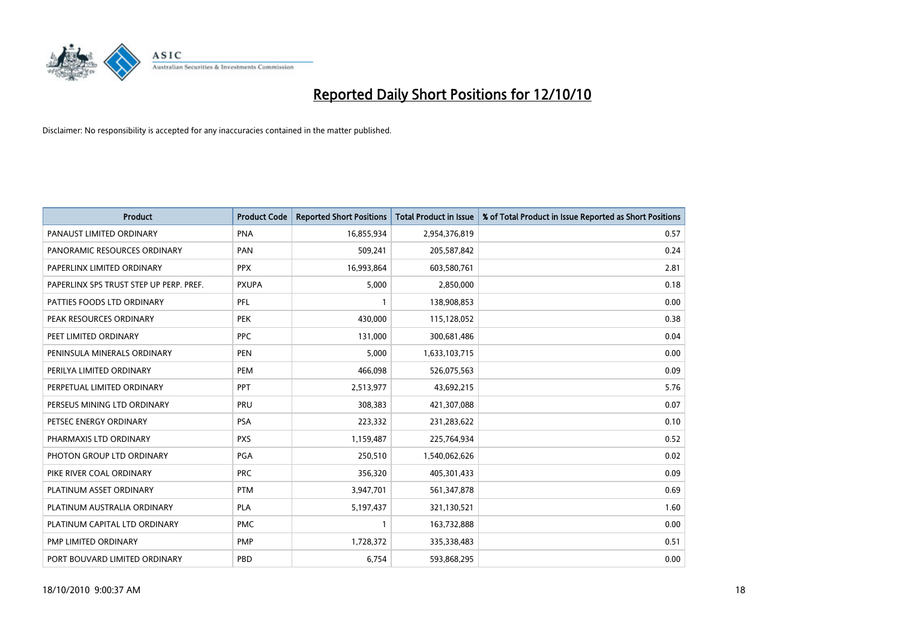

| <b>Product</b>                          | <b>Product Code</b> | <b>Reported Short Positions</b> | <b>Total Product in Issue</b> | % of Total Product in Issue Reported as Short Positions |
|-----------------------------------------|---------------------|---------------------------------|-------------------------------|---------------------------------------------------------|
| PANAUST LIMITED ORDINARY                | <b>PNA</b>          | 16,855,934                      | 2,954,376,819                 | 0.57                                                    |
| PANORAMIC RESOURCES ORDINARY            | PAN                 | 509,241                         | 205,587,842                   | 0.24                                                    |
| PAPERLINX LIMITED ORDINARY              | <b>PPX</b>          | 16,993,864                      | 603,580,761                   | 2.81                                                    |
| PAPERLINX SPS TRUST STEP UP PERP. PREF. | <b>PXUPA</b>        | 5,000                           | 2,850,000                     | 0.18                                                    |
| PATTIES FOODS LTD ORDINARY              | PFL                 |                                 | 138,908,853                   | 0.00                                                    |
| PEAK RESOURCES ORDINARY                 | <b>PEK</b>          | 430,000                         | 115,128,052                   | 0.38                                                    |
| PEET LIMITED ORDINARY                   | <b>PPC</b>          | 131,000                         | 300,681,486                   | 0.04                                                    |
| PENINSULA MINERALS ORDINARY             | <b>PEN</b>          | 5,000                           | 1,633,103,715                 | 0.00                                                    |
| PERILYA LIMITED ORDINARY                | PEM                 | 466,098                         | 526,075,563                   | 0.09                                                    |
| PERPETUAL LIMITED ORDINARY              | <b>PPT</b>          | 2,513,977                       | 43,692,215                    | 5.76                                                    |
| PERSEUS MINING LTD ORDINARY             | PRU                 | 308,383                         | 421,307,088                   | 0.07                                                    |
| PETSEC ENERGY ORDINARY                  | <b>PSA</b>          | 223,332                         | 231,283,622                   | 0.10                                                    |
| PHARMAXIS LTD ORDINARY                  | <b>PXS</b>          | 1,159,487                       | 225,764,934                   | 0.52                                                    |
| PHOTON GROUP LTD ORDINARY               | PGA                 | 250,510                         | 1,540,062,626                 | 0.02                                                    |
| PIKE RIVER COAL ORDINARY                | <b>PRC</b>          | 356,320                         | 405,301,433                   | 0.09                                                    |
| PLATINUM ASSET ORDINARY                 | <b>PTM</b>          | 3,947,701                       | 561,347,878                   | 0.69                                                    |
| PLATINUM AUSTRALIA ORDINARY             | <b>PLA</b>          | 5,197,437                       | 321,130,521                   | 1.60                                                    |
| PLATINUM CAPITAL LTD ORDINARY           | <b>PMC</b>          |                                 | 163,732,888                   | 0.00                                                    |
| PMP LIMITED ORDINARY                    | <b>PMP</b>          | 1,728,372                       | 335,338,483                   | 0.51                                                    |
| PORT BOUVARD LIMITED ORDINARY           | PBD                 | 6,754                           | 593,868,295                   | 0.00                                                    |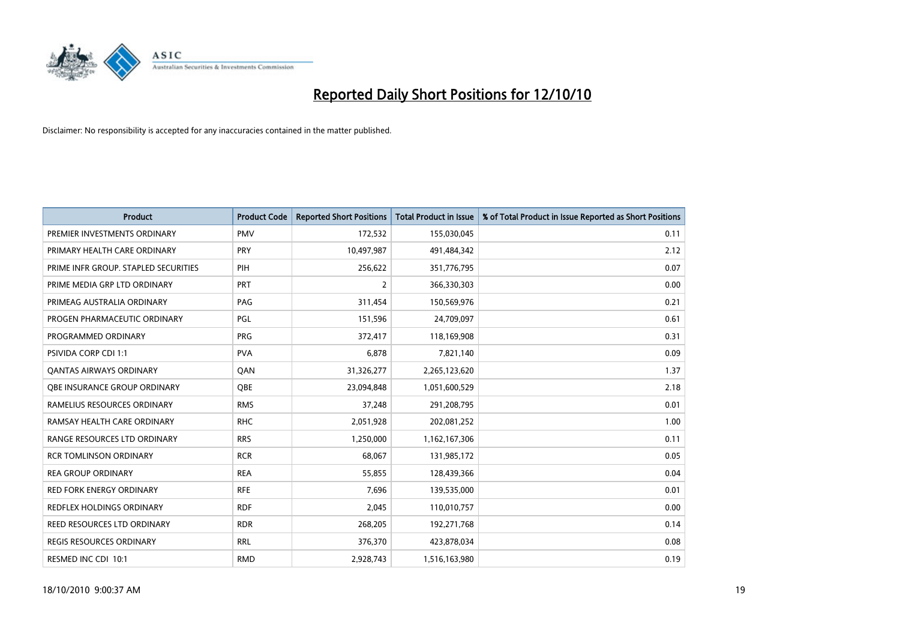

| <b>Product</b>                       | <b>Product Code</b> | <b>Reported Short Positions</b> | <b>Total Product in Issue</b> | % of Total Product in Issue Reported as Short Positions |
|--------------------------------------|---------------------|---------------------------------|-------------------------------|---------------------------------------------------------|
| PREMIER INVESTMENTS ORDINARY         | <b>PMV</b>          | 172,532                         | 155,030,045                   | 0.11                                                    |
| PRIMARY HEALTH CARE ORDINARY         | <b>PRY</b>          | 10,497,987                      | 491,484,342                   | 2.12                                                    |
| PRIME INFR GROUP. STAPLED SECURITIES | PIH                 | 256,622                         | 351,776,795                   | 0.07                                                    |
| PRIME MEDIA GRP LTD ORDINARY         | PRT                 | $\overline{2}$                  | 366,330,303                   | 0.00                                                    |
| PRIMEAG AUSTRALIA ORDINARY           | PAG                 | 311,454                         | 150,569,976                   | 0.21                                                    |
| PROGEN PHARMACEUTIC ORDINARY         | PGL                 | 151,596                         | 24,709,097                    | 0.61                                                    |
| PROGRAMMED ORDINARY                  | <b>PRG</b>          | 372,417                         | 118,169,908                   | 0.31                                                    |
| <b>PSIVIDA CORP CDI 1:1</b>          | <b>PVA</b>          | 6,878                           | 7,821,140                     | 0.09                                                    |
| <b>QANTAS AIRWAYS ORDINARY</b>       | QAN                 | 31,326,277                      | 2,265,123,620                 | 1.37                                                    |
| OBE INSURANCE GROUP ORDINARY         | OBE                 | 23,094,848                      | 1,051,600,529                 | 2.18                                                    |
| RAMELIUS RESOURCES ORDINARY          | <b>RMS</b>          | 37,248                          | 291,208,795                   | 0.01                                                    |
| RAMSAY HEALTH CARE ORDINARY          | <b>RHC</b>          | 2,051,928                       | 202,081,252                   | 1.00                                                    |
| RANGE RESOURCES LTD ORDINARY         | <b>RRS</b>          | 1,250,000                       | 1,162,167,306                 | 0.11                                                    |
| <b>RCR TOMLINSON ORDINARY</b>        | <b>RCR</b>          | 68,067                          | 131,985,172                   | 0.05                                                    |
| <b>REA GROUP ORDINARY</b>            | <b>REA</b>          | 55,855                          | 128,439,366                   | 0.04                                                    |
| RED FORK ENERGY ORDINARY             | <b>RFE</b>          | 7,696                           | 139,535,000                   | 0.01                                                    |
| REDFLEX HOLDINGS ORDINARY            | <b>RDF</b>          | 2,045                           | 110,010,757                   | 0.00                                                    |
| REED RESOURCES LTD ORDINARY          | <b>RDR</b>          | 268,205                         | 192,271,768                   | 0.14                                                    |
| <b>REGIS RESOURCES ORDINARY</b>      | <b>RRL</b>          | 376,370                         | 423,878,034                   | 0.08                                                    |
| RESMED INC CDI 10:1                  | <b>RMD</b>          | 2.928.743                       | 1,516,163,980                 | 0.19                                                    |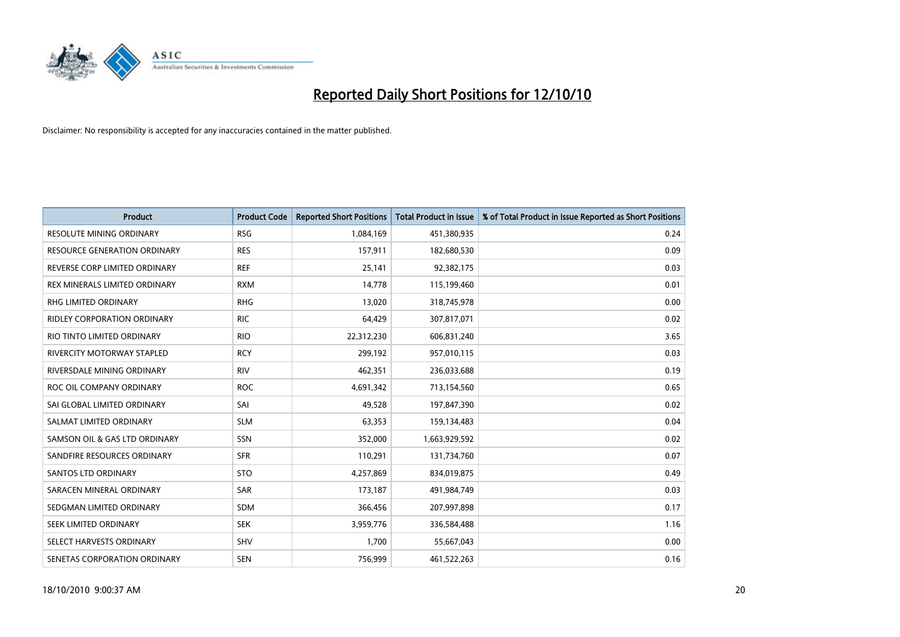

| <b>Product</b>                     | <b>Product Code</b> | <b>Reported Short Positions</b> | <b>Total Product in Issue</b> | % of Total Product in Issue Reported as Short Positions |
|------------------------------------|---------------------|---------------------------------|-------------------------------|---------------------------------------------------------|
| <b>RESOLUTE MINING ORDINARY</b>    | <b>RSG</b>          | 1,084,169                       | 451,380,935                   | 0.24                                                    |
| RESOURCE GENERATION ORDINARY       | <b>RES</b>          | 157,911                         | 182,680,530                   | 0.09                                                    |
| REVERSE CORP LIMITED ORDINARY      | <b>REF</b>          | 25,141                          | 92,382,175                    | 0.03                                                    |
| REX MINERALS LIMITED ORDINARY      | <b>RXM</b>          | 14,778                          | 115,199,460                   | 0.01                                                    |
| <b>RHG LIMITED ORDINARY</b>        | <b>RHG</b>          | 13,020                          | 318,745,978                   | 0.00                                                    |
| <b>RIDLEY CORPORATION ORDINARY</b> | <b>RIC</b>          | 64,429                          | 307,817,071                   | 0.02                                                    |
| RIO TINTO LIMITED ORDINARY         | <b>RIO</b>          | 22,312,230                      | 606,831,240                   | 3.65                                                    |
| RIVERCITY MOTORWAY STAPLED         | <b>RCY</b>          | 299,192                         | 957,010,115                   | 0.03                                                    |
| RIVERSDALE MINING ORDINARY         | <b>RIV</b>          | 462,351                         | 236,033,688                   | 0.19                                                    |
| ROC OIL COMPANY ORDINARY           | <b>ROC</b>          | 4,691,342                       | 713,154,560                   | 0.65                                                    |
| SAI GLOBAL LIMITED ORDINARY        | SAI                 | 49,528                          | 197,847,390                   | 0.02                                                    |
| SALMAT LIMITED ORDINARY            | <b>SLM</b>          | 63,353                          | 159,134,483                   | 0.04                                                    |
| SAMSON OIL & GAS LTD ORDINARY      | <b>SSN</b>          | 352,000                         | 1,663,929,592                 | 0.02                                                    |
| SANDFIRE RESOURCES ORDINARY        | <b>SFR</b>          | 110,291                         | 131,734,760                   | 0.07                                                    |
| <b>SANTOS LTD ORDINARY</b>         | <b>STO</b>          | 4,257,869                       | 834,019,875                   | 0.49                                                    |
| SARACEN MINERAL ORDINARY           | <b>SAR</b>          | 173,187                         | 491,984,749                   | 0.03                                                    |
| SEDGMAN LIMITED ORDINARY           | <b>SDM</b>          | 366,456                         | 207,997,898                   | 0.17                                                    |
| SEEK LIMITED ORDINARY              | <b>SEK</b>          | 3,959,776                       | 336,584,488                   | 1.16                                                    |
| SELECT HARVESTS ORDINARY           | SHV                 | 1,700                           | 55,667,043                    | 0.00                                                    |
| SENETAS CORPORATION ORDINARY       | <b>SEN</b>          | 756,999                         | 461,522,263                   | 0.16                                                    |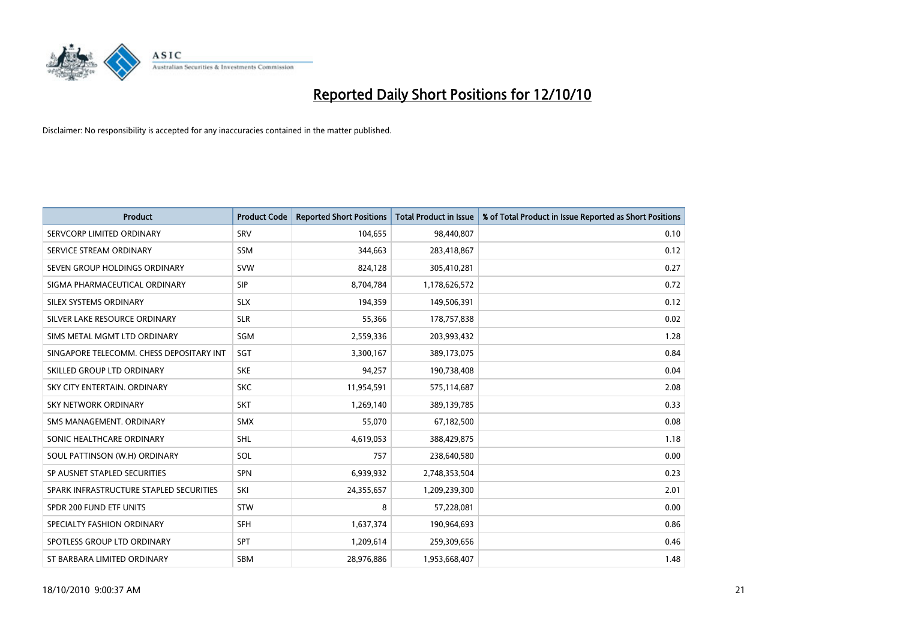

| <b>Product</b>                           | <b>Product Code</b> | <b>Reported Short Positions</b> | <b>Total Product in Issue</b> | % of Total Product in Issue Reported as Short Positions |
|------------------------------------------|---------------------|---------------------------------|-------------------------------|---------------------------------------------------------|
| SERVCORP LIMITED ORDINARY                | SRV                 | 104,655                         | 98,440,807                    | 0.10                                                    |
| SERVICE STREAM ORDINARY                  | <b>SSM</b>          | 344,663                         | 283,418,867                   | 0.12                                                    |
| SEVEN GROUP HOLDINGS ORDINARY            | <b>SVW</b>          | 824,128                         | 305,410,281                   | 0.27                                                    |
| SIGMA PHARMACEUTICAL ORDINARY            | SIP                 | 8,704,784                       | 1,178,626,572                 | 0.72                                                    |
| SILEX SYSTEMS ORDINARY                   | <b>SLX</b>          | 194,359                         | 149,506,391                   | 0.12                                                    |
| SILVER LAKE RESOURCE ORDINARY            | <b>SLR</b>          | 55,366                          | 178,757,838                   | 0.02                                                    |
| SIMS METAL MGMT LTD ORDINARY             | SGM                 | 2,559,336                       | 203,993,432                   | 1.28                                                    |
| SINGAPORE TELECOMM. CHESS DEPOSITARY INT | SGT                 | 3,300,167                       | 389,173,075                   | 0.84                                                    |
| SKILLED GROUP LTD ORDINARY               | <b>SKE</b>          | 94,257                          | 190,738,408                   | 0.04                                                    |
| SKY CITY ENTERTAIN, ORDINARY             | <b>SKC</b>          | 11,954,591                      | 575,114,687                   | 2.08                                                    |
| SKY NETWORK ORDINARY                     | <b>SKT</b>          | 1,269,140                       | 389,139,785                   | 0.33                                                    |
| SMS MANAGEMENT, ORDINARY                 | <b>SMX</b>          | 55,070                          | 67,182,500                    | 0.08                                                    |
| SONIC HEALTHCARE ORDINARY                | <b>SHL</b>          | 4,619,053                       | 388,429,875                   | 1.18                                                    |
| SOUL PATTINSON (W.H) ORDINARY            | SOL                 | 757                             | 238,640,580                   | 0.00                                                    |
| SP AUSNET STAPLED SECURITIES             | SPN                 | 6,939,932                       | 2,748,353,504                 | 0.23                                                    |
| SPARK INFRASTRUCTURE STAPLED SECURITIES  | SKI                 | 24,355,657                      | 1,209,239,300                 | 2.01                                                    |
| SPDR 200 FUND ETF UNITS                  | STW                 | 8                               | 57,228,081                    | 0.00                                                    |
| SPECIALTY FASHION ORDINARY               | SFH                 | 1,637,374                       | 190,964,693                   | 0.86                                                    |
| SPOTLESS GROUP LTD ORDINARY              | <b>SPT</b>          | 1,209,614                       | 259,309,656                   | 0.46                                                    |
| ST BARBARA LIMITED ORDINARY              | <b>SBM</b>          | 28,976,886                      | 1,953,668,407                 | 1.48                                                    |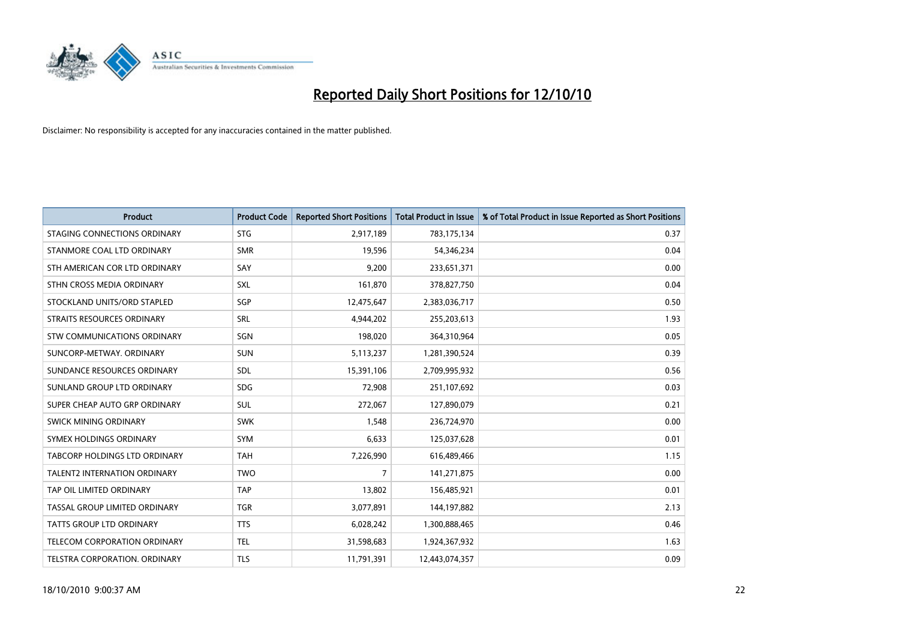

| <b>Product</b>                      | <b>Product Code</b> | <b>Reported Short Positions</b> | <b>Total Product in Issue</b> | % of Total Product in Issue Reported as Short Positions |
|-------------------------------------|---------------------|---------------------------------|-------------------------------|---------------------------------------------------------|
| STAGING CONNECTIONS ORDINARY        | <b>STG</b>          | 2,917,189                       | 783,175,134                   | 0.37                                                    |
| STANMORE COAL LTD ORDINARY          | <b>SMR</b>          | 19,596                          | 54,346,234                    | 0.04                                                    |
| STH AMERICAN COR LTD ORDINARY       | SAY                 | 9,200                           | 233,651,371                   | 0.00                                                    |
| STHN CROSS MEDIA ORDINARY           | <b>SXL</b>          | 161,870                         | 378,827,750                   | 0.04                                                    |
| STOCKLAND UNITS/ORD STAPLED         | SGP                 | 12,475,647                      | 2,383,036,717                 | 0.50                                                    |
| STRAITS RESOURCES ORDINARY          | SRL                 | 4,944,202                       | 255,203,613                   | 1.93                                                    |
| <b>STW COMMUNICATIONS ORDINARY</b>  | SGN                 | 198,020                         | 364,310,964                   | 0.05                                                    |
| SUNCORP-METWAY, ORDINARY            | <b>SUN</b>          | 5,113,237                       | 1,281,390,524                 | 0.39                                                    |
| SUNDANCE RESOURCES ORDINARY         | <b>SDL</b>          | 15,391,106                      | 2,709,995,932                 | 0.56                                                    |
| SUNLAND GROUP LTD ORDINARY          | <b>SDG</b>          | 72,908                          | 251,107,692                   | 0.03                                                    |
| SUPER CHEAP AUTO GRP ORDINARY       | <b>SUL</b>          | 272,067                         | 127,890,079                   | 0.21                                                    |
| <b>SWICK MINING ORDINARY</b>        | <b>SWK</b>          | 1,548                           | 236,724,970                   | 0.00                                                    |
| SYMEX HOLDINGS ORDINARY             | <b>SYM</b>          | 6,633                           | 125,037,628                   | 0.01                                                    |
| TABCORP HOLDINGS LTD ORDINARY       | <b>TAH</b>          | 7,226,990                       | 616,489,466                   | 1.15                                                    |
| <b>TALENT2 INTERNATION ORDINARY</b> | <b>TWO</b>          | 7                               | 141,271,875                   | 0.00                                                    |
| TAP OIL LIMITED ORDINARY            | <b>TAP</b>          | 13,802                          | 156,485,921                   | 0.01                                                    |
| TASSAL GROUP LIMITED ORDINARY       | <b>TGR</b>          | 3,077,891                       | 144,197,882                   | 2.13                                                    |
| TATTS GROUP LTD ORDINARY            | <b>TTS</b>          | 6,028,242                       | 1,300,888,465                 | 0.46                                                    |
| TELECOM CORPORATION ORDINARY        | <b>TEL</b>          | 31,598,683                      | 1,924,367,932                 | 1.63                                                    |
| TELSTRA CORPORATION, ORDINARY       | <b>TLS</b>          | 11,791,391                      | 12,443,074,357                | 0.09                                                    |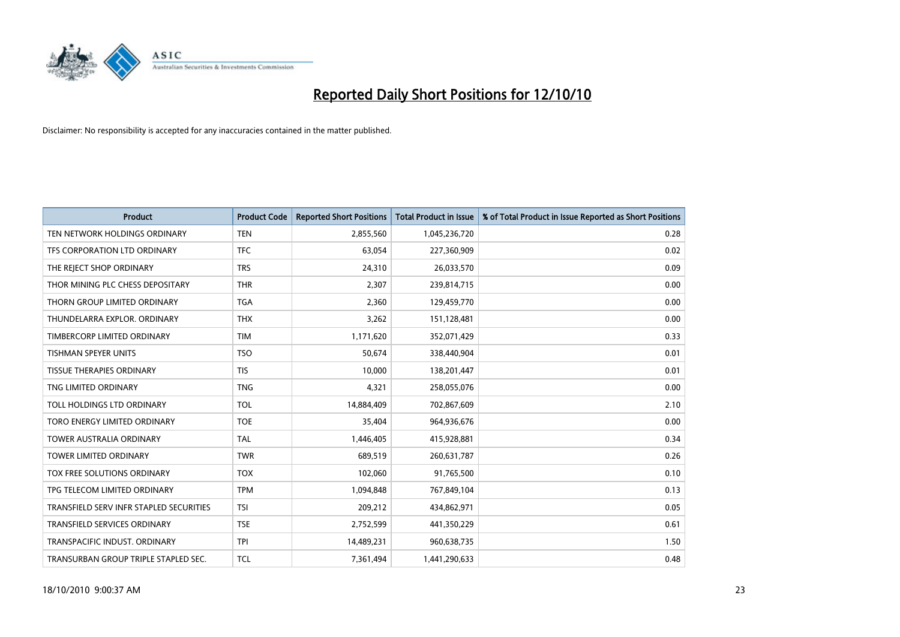

| <b>Product</b>                          | <b>Product Code</b> | <b>Reported Short Positions</b> | Total Product in Issue | % of Total Product in Issue Reported as Short Positions |
|-----------------------------------------|---------------------|---------------------------------|------------------------|---------------------------------------------------------|
| TEN NETWORK HOLDINGS ORDINARY           | <b>TEN</b>          | 2,855,560                       | 1,045,236,720          | 0.28                                                    |
| TFS CORPORATION LTD ORDINARY            | <b>TFC</b>          | 63,054                          | 227,360,909            | 0.02                                                    |
| THE REJECT SHOP ORDINARY                | <b>TRS</b>          | 24,310                          | 26,033,570             | 0.09                                                    |
| THOR MINING PLC CHESS DEPOSITARY        | <b>THR</b>          | 2,307                           | 239,814,715            | 0.00                                                    |
| THORN GROUP LIMITED ORDINARY            | <b>TGA</b>          | 2,360                           | 129,459,770            | 0.00                                                    |
| THUNDELARRA EXPLOR, ORDINARY            | <b>THX</b>          | 3,262                           | 151,128,481            | 0.00                                                    |
| TIMBERCORP LIMITED ORDINARY             | <b>TIM</b>          | 1,171,620                       | 352,071,429            | 0.33                                                    |
| <b>TISHMAN SPEYER UNITS</b>             | <b>TSO</b>          | 50,674                          | 338,440,904            | 0.01                                                    |
| <b>TISSUE THERAPIES ORDINARY</b>        | <b>TIS</b>          | 10,000                          | 138,201,447            | 0.01                                                    |
| TNG LIMITED ORDINARY                    | <b>TNG</b>          | 4,321                           | 258,055,076            | 0.00                                                    |
| TOLL HOLDINGS LTD ORDINARY              | <b>TOL</b>          | 14,884,409                      | 702,867,609            | 2.10                                                    |
| TORO ENERGY LIMITED ORDINARY            | <b>TOE</b>          | 35,404                          | 964,936,676            | 0.00                                                    |
| <b>TOWER AUSTRALIA ORDINARY</b>         | <b>TAL</b>          | 1.446.405                       | 415,928,881            | 0.34                                                    |
| <b>TOWER LIMITED ORDINARY</b>           | <b>TWR</b>          | 689.519                         | 260,631,787            | 0.26                                                    |
| TOX FREE SOLUTIONS ORDINARY             | <b>TOX</b>          | 102,060                         | 91,765,500             | 0.10                                                    |
| TPG TELECOM LIMITED ORDINARY            | <b>TPM</b>          | 1,094,848                       | 767,849,104            | 0.13                                                    |
| TRANSFIELD SERV INFR STAPLED SECURITIES | <b>TSI</b>          | 209,212                         | 434,862,971            | 0.05                                                    |
| TRANSFIELD SERVICES ORDINARY            | <b>TSE</b>          | 2,752,599                       | 441,350,229            | 0.61                                                    |
| TRANSPACIFIC INDUST, ORDINARY           | <b>TPI</b>          | 14,489,231                      | 960,638,735            | 1.50                                                    |
| TRANSURBAN GROUP TRIPLE STAPLED SEC.    | <b>TCL</b>          | 7,361,494                       | 1,441,290,633          | 0.48                                                    |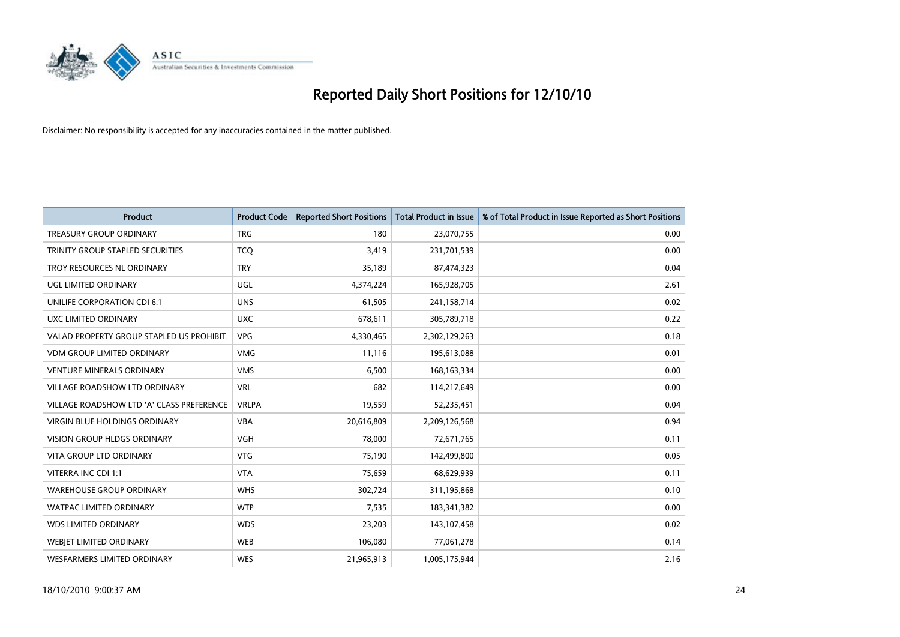

| <b>Product</b>                            | <b>Product Code</b> | <b>Reported Short Positions</b> | <b>Total Product in Issue</b> | % of Total Product in Issue Reported as Short Positions |
|-------------------------------------------|---------------------|---------------------------------|-------------------------------|---------------------------------------------------------|
| <b>TREASURY GROUP ORDINARY</b>            | <b>TRG</b>          | 180                             | 23,070,755                    | 0.00                                                    |
| TRINITY GROUP STAPLED SECURITIES          | <b>TCO</b>          | 3,419                           | 231,701,539                   | 0.00                                                    |
| TROY RESOURCES NL ORDINARY                | <b>TRY</b>          | 35,189                          | 87,474,323                    | 0.04                                                    |
| UGL LIMITED ORDINARY                      | UGL                 | 4,374,224                       | 165,928,705                   | 2.61                                                    |
| UNILIFE CORPORATION CDI 6:1               | <b>UNS</b>          | 61,505                          | 241,158,714                   | 0.02                                                    |
| UXC LIMITED ORDINARY                      | <b>UXC</b>          | 678,611                         | 305,789,718                   | 0.22                                                    |
| VALAD PROPERTY GROUP STAPLED US PROHIBIT. | <b>VPG</b>          | 4,330,465                       | 2,302,129,263                 | 0.18                                                    |
| VDM GROUP LIMITED ORDINARY                | <b>VMG</b>          | 11,116                          | 195,613,088                   | 0.01                                                    |
| <b>VENTURE MINERALS ORDINARY</b>          | <b>VMS</b>          | 6,500                           | 168, 163, 334                 | 0.00                                                    |
| <b>VILLAGE ROADSHOW LTD ORDINARY</b>      | <b>VRL</b>          | 682                             | 114,217,649                   | 0.00                                                    |
| VILLAGE ROADSHOW LTD 'A' CLASS PREFERENCE | <b>VRLPA</b>        | 19,559                          | 52,235,451                    | 0.04                                                    |
| <b>VIRGIN BLUE HOLDINGS ORDINARY</b>      | <b>VBA</b>          | 20,616,809                      | 2,209,126,568                 | 0.94                                                    |
| VISION GROUP HLDGS ORDINARY               | <b>VGH</b>          | 78,000                          | 72,671,765                    | 0.11                                                    |
| <b>VITA GROUP LTD ORDINARY</b>            | <b>VTG</b>          | 75,190                          | 142,499,800                   | 0.05                                                    |
| VITERRA INC CDI 1:1                       | <b>VTA</b>          | 75,659                          | 68,629,939                    | 0.11                                                    |
| <b>WAREHOUSE GROUP ORDINARY</b>           | <b>WHS</b>          | 302,724                         | 311,195,868                   | 0.10                                                    |
| WATPAC LIMITED ORDINARY                   | <b>WTP</b>          | 7,535                           | 183,341,382                   | 0.00                                                    |
| WDS LIMITED ORDINARY                      | <b>WDS</b>          | 23,203                          | 143,107,458                   | 0.02                                                    |
| <b>WEBJET LIMITED ORDINARY</b>            | WEB                 | 106,080                         | 77,061,278                    | 0.14                                                    |
| WESFARMERS LIMITED ORDINARY               | <b>WES</b>          | 21,965,913                      | 1,005,175,944                 | 2.16                                                    |